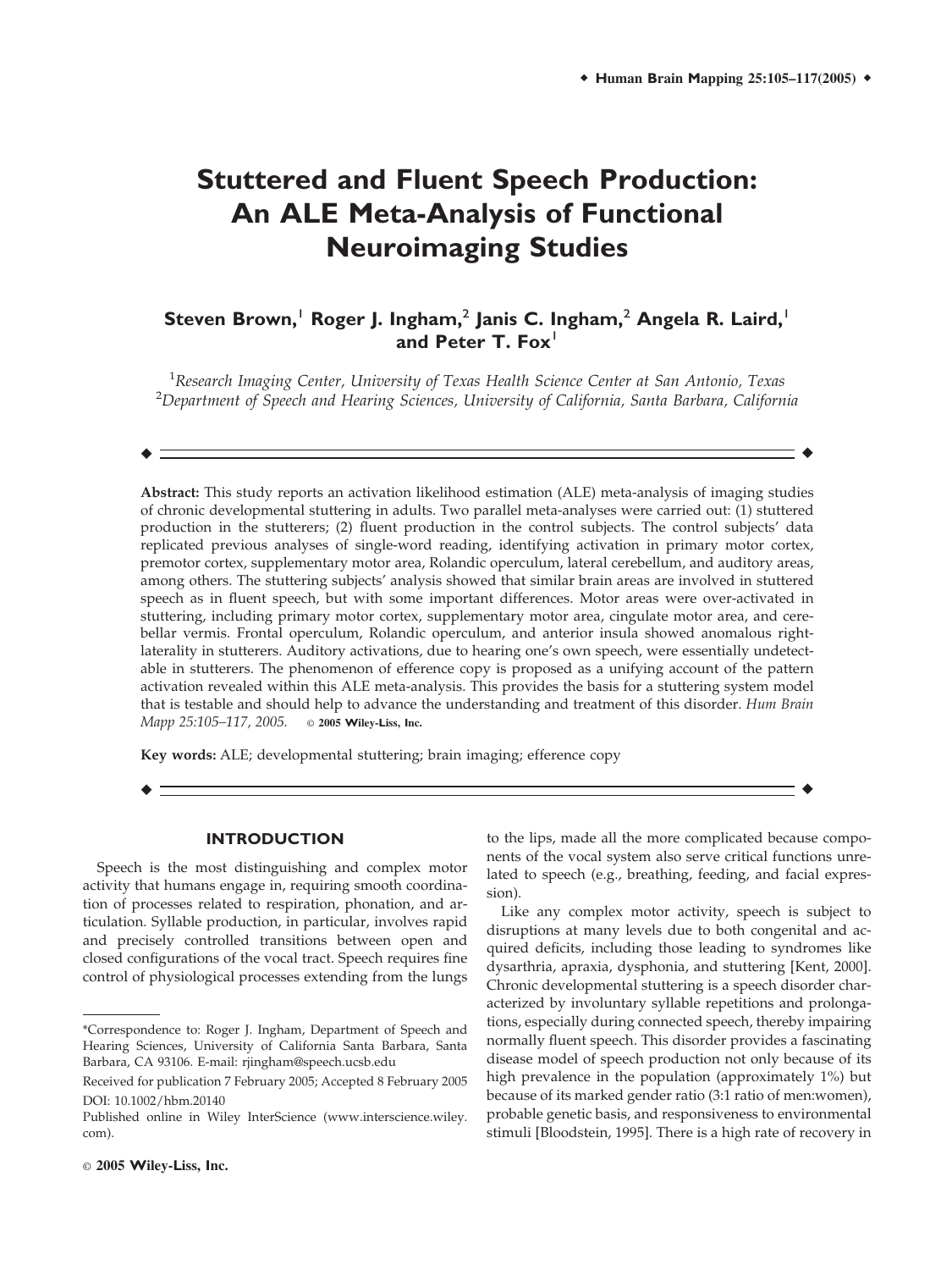# **Stuttered and Fluent Speech Production: An ALE Meta-Analysis of Functional Neuroimaging Studies**

# **Steven Brown,**<sup>1</sup> **Roger J. Ingham,**<sup>2</sup> **Janis C. Ingham,**<sup>2</sup> **Angela R. Laird,**<sup>1</sup> and Peter T. Fox<sup>1</sup>

<sup>1</sup> Research Imaging Center, University of Texas Health Science Center at San Antonio, Texas<br><sup>2</sup> Department of Speech and Hearing Sciences University of California, Santa Barbara, Californ *Department of Speech and Hearing Sciences, University of California, Santa Barbara, California*

**Abstract:** This study reports an activation likelihood estimation (ALE) meta-analysis of imaging studies of chronic developmental stuttering in adults. Two parallel meta-analyses were carried out: (1) stuttered production in the stutterers; (2) fluent production in the control subjects. The control subjects' data replicated previous analyses of single-word reading, identifying activation in primary motor cortex, premotor cortex, supplementary motor area, Rolandic operculum, lateral cerebellum, and auditory areas, among others. The stuttering subjects' analysis showed that similar brain areas are involved in stuttered speech as in fluent speech, but with some important differences. Motor areas were over-activated in stuttering, including primary motor cortex, supplementary motor area, cingulate motor area, and cerebellar vermis. Frontal operculum, Rolandic operculum, and anterior insula showed anomalous rightlaterality in stutterers. Auditory activations, due to hearing one's own speech, were essentially undetectable in stutterers. The phenomenon of efference copy is proposed as a unifying account of the pattern activation revealed within this ALE meta-analysis. This provides the basis for a stuttering system model that is testable and should help to advance the understanding and treatment of this disorder. *Hum Brain Mapp 25:105–117, 2005.* © **2005 Wiley-Liss, Inc.**

 $\blacklozenge$  and the contract of the contract of the contract of the contract of the contract of  $\blacklozenge$ 

**Key words:** ALE; developmental stuttering; brain imaging; efference copy

#### **INTRODUCTION**

Speech is the most distinguishing and complex motor activity that humans engage in, requiring smooth coordination of processes related to respiration, phonation, and articulation. Syllable production, in particular, involves rapid and precisely controlled transitions between open and closed configurations of the vocal tract. Speech requires fine control of physiological processes extending from the lungs to the lips, made all the more complicated because components of the vocal system also serve critical functions unrelated to speech (e.g., breathing, feeding, and facial expression).

Like any complex motor activity, speech is subject to disruptions at many levels due to both congenital and acquired deficits, including those leading to syndromes like dysarthria, apraxia, dysphonia, and stuttering [Kent, 2000]. Chronic developmental stuttering is a speech disorder characterized by involuntary syllable repetitions and prolongations, especially during connected speech, thereby impairing normally fluent speech. This disorder provides a fascinating disease model of speech production not only because of its high prevalence in the population (approximately 1%) but because of its marked gender ratio (3:1 ratio of men:women), probable genetic basis, and responsiveness to environmental stimuli [Bloodstein, 1995]. There is a high rate of recovery in

<sup>\*</sup>Correspondence to: Roger J. Ingham, Department of Speech and Hearing Sciences, University of California Santa Barbara, Santa Barbara, CA 93106. E-mail: rjingham@speech.ucsb.edu

Received for publication 7 February 2005; Accepted 8 February 2005 DOI: 10.1002/hbm.20140

Published online in Wiley InterScience (www.interscience.wiley. com).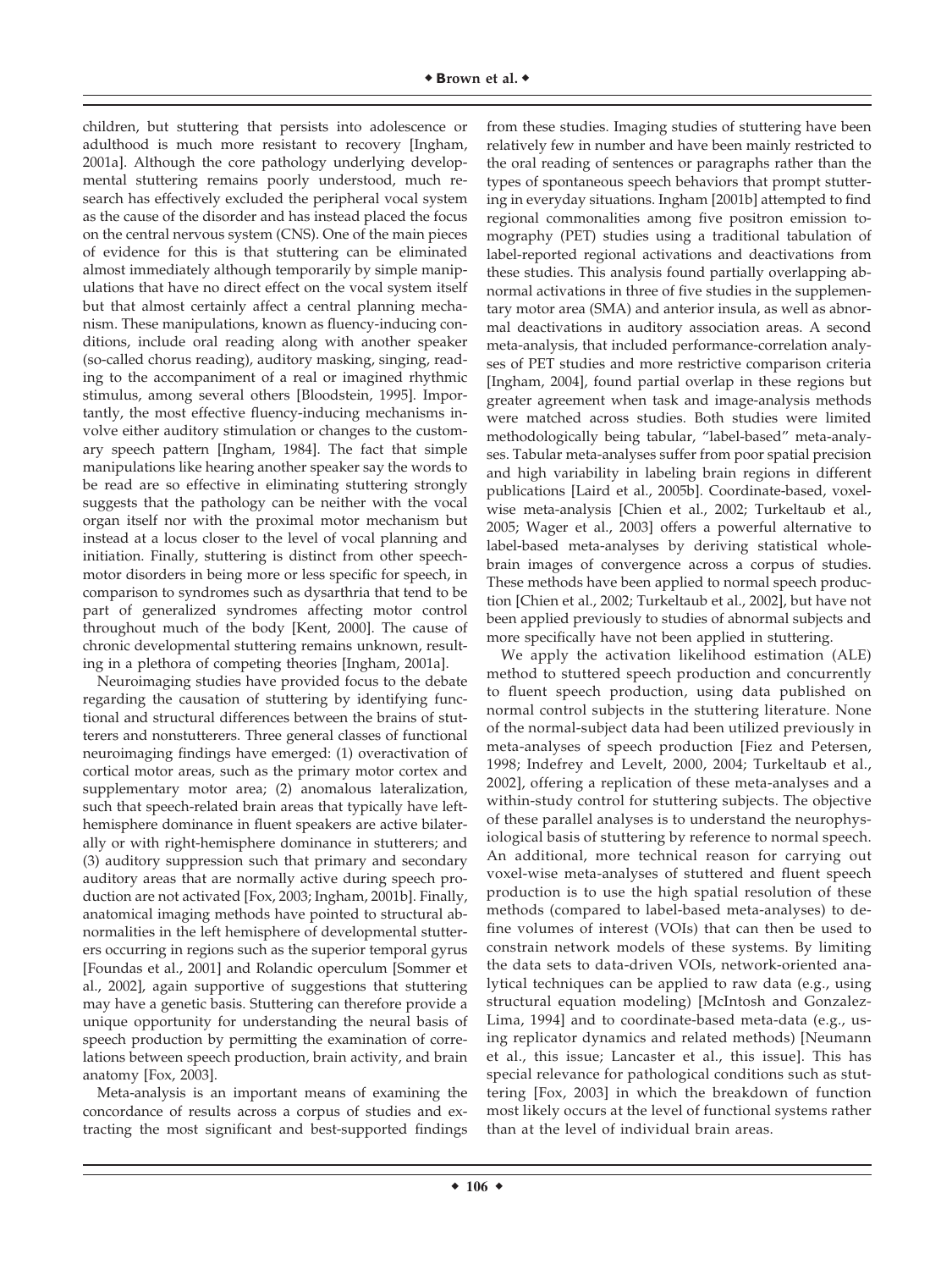children, but stuttering that persists into adolescence or adulthood is much more resistant to recovery [Ingham, 2001a]. Although the core pathology underlying developmental stuttering remains poorly understood, much research has effectively excluded the peripheral vocal system as the cause of the disorder and has instead placed the focus on the central nervous system (CNS). One of the main pieces of evidence for this is that stuttering can be eliminated almost immediately although temporarily by simple manipulations that have no direct effect on the vocal system itself but that almost certainly affect a central planning mechanism. These manipulations, known as fluency-inducing conditions, include oral reading along with another speaker (so-called chorus reading), auditory masking, singing, reading to the accompaniment of a real or imagined rhythmic stimulus, among several others [Bloodstein, 1995]. Importantly, the most effective fluency-inducing mechanisms involve either auditory stimulation or changes to the customary speech pattern [Ingham, 1984]. The fact that simple manipulations like hearing another speaker say the words to be read are so effective in eliminating stuttering strongly suggests that the pathology can be neither with the vocal organ itself nor with the proximal motor mechanism but instead at a locus closer to the level of vocal planning and initiation. Finally, stuttering is distinct from other speechmotor disorders in being more or less specific for speech, in comparison to syndromes such as dysarthria that tend to be part of generalized syndromes affecting motor control throughout much of the body [Kent, 2000]. The cause of chronic developmental stuttering remains unknown, resulting in a plethora of competing theories [Ingham, 2001a].

Neuroimaging studies have provided focus to the debate regarding the causation of stuttering by identifying functional and structural differences between the brains of stutterers and nonstutterers. Three general classes of functional neuroimaging findings have emerged: (1) overactivation of cortical motor areas, such as the primary motor cortex and supplementary motor area; (2) anomalous lateralization, such that speech-related brain areas that typically have lefthemisphere dominance in fluent speakers are active bilaterally or with right-hemisphere dominance in stutterers; and (3) auditory suppression such that primary and secondary auditory areas that are normally active during speech production are not activated [Fox, 2003; Ingham, 2001b]. Finally, anatomical imaging methods have pointed to structural abnormalities in the left hemisphere of developmental stutterers occurring in regions such as the superior temporal gyrus [Foundas et al., 2001] and Rolandic operculum [Sommer et al., 2002], again supportive of suggestions that stuttering may have a genetic basis. Stuttering can therefore provide a unique opportunity for understanding the neural basis of speech production by permitting the examination of correlations between speech production, brain activity, and brain anatomy [Fox, 2003].

Meta-analysis is an important means of examining the concordance of results across a corpus of studies and extracting the most significant and best-supported findings from these studies. Imaging studies of stuttering have been relatively few in number and have been mainly restricted to the oral reading of sentences or paragraphs rather than the types of spontaneous speech behaviors that prompt stuttering in everyday situations. Ingham [2001b] attempted to find regional commonalities among five positron emission tomography (PET) studies using a traditional tabulation of label-reported regional activations and deactivations from these studies. This analysis found partially overlapping abnormal activations in three of five studies in the supplementary motor area (SMA) and anterior insula, as well as abnormal deactivations in auditory association areas. A second meta-analysis, that included performance-correlation analyses of PET studies and more restrictive comparison criteria [Ingham, 2004], found partial overlap in these regions but greater agreement when task and image-analysis methods were matched across studies. Both studies were limited methodologically being tabular, "label-based" meta-analyses. Tabular meta-analyses suffer from poor spatial precision and high variability in labeling brain regions in different publications [Laird et al., 2005b]. Coordinate-based, voxelwise meta-analysis [Chien et al., 2002; Turkeltaub et al., 2005; Wager et al., 2003] offers a powerful alternative to label-based meta-analyses by deriving statistical wholebrain images of convergence across a corpus of studies. These methods have been applied to normal speech production [Chien et al., 2002; Turkeltaub et al., 2002], but have not been applied previously to studies of abnormal subjects and more specifically have not been applied in stuttering.

We apply the activation likelihood estimation (ALE) method to stuttered speech production and concurrently to fluent speech production, using data published on normal control subjects in the stuttering literature. None of the normal-subject data had been utilized previously in meta-analyses of speech production [Fiez and Petersen, 1998; Indefrey and Levelt, 2000, 2004; Turkeltaub et al., 2002], offering a replication of these meta-analyses and a within-study control for stuttering subjects. The objective of these parallel analyses is to understand the neurophysiological basis of stuttering by reference to normal speech. An additional, more technical reason for carrying out voxel-wise meta-analyses of stuttered and fluent speech production is to use the high spatial resolution of these methods (compared to label-based meta-analyses) to define volumes of interest (VOIs) that can then be used to constrain network models of these systems. By limiting the data sets to data-driven VOIs, network-oriented analytical techniques can be applied to raw data (e.g., using structural equation modeling) [McIntosh and Gonzalez-Lima, 1994] and to coordinate-based meta-data (e.g., using replicator dynamics and related methods) [Neumann et al., this issue; Lancaster et al., this issue]. This has special relevance for pathological conditions such as stuttering [Fox, 2003] in which the breakdown of function most likely occurs at the level of functional systems rather than at the level of individual brain areas.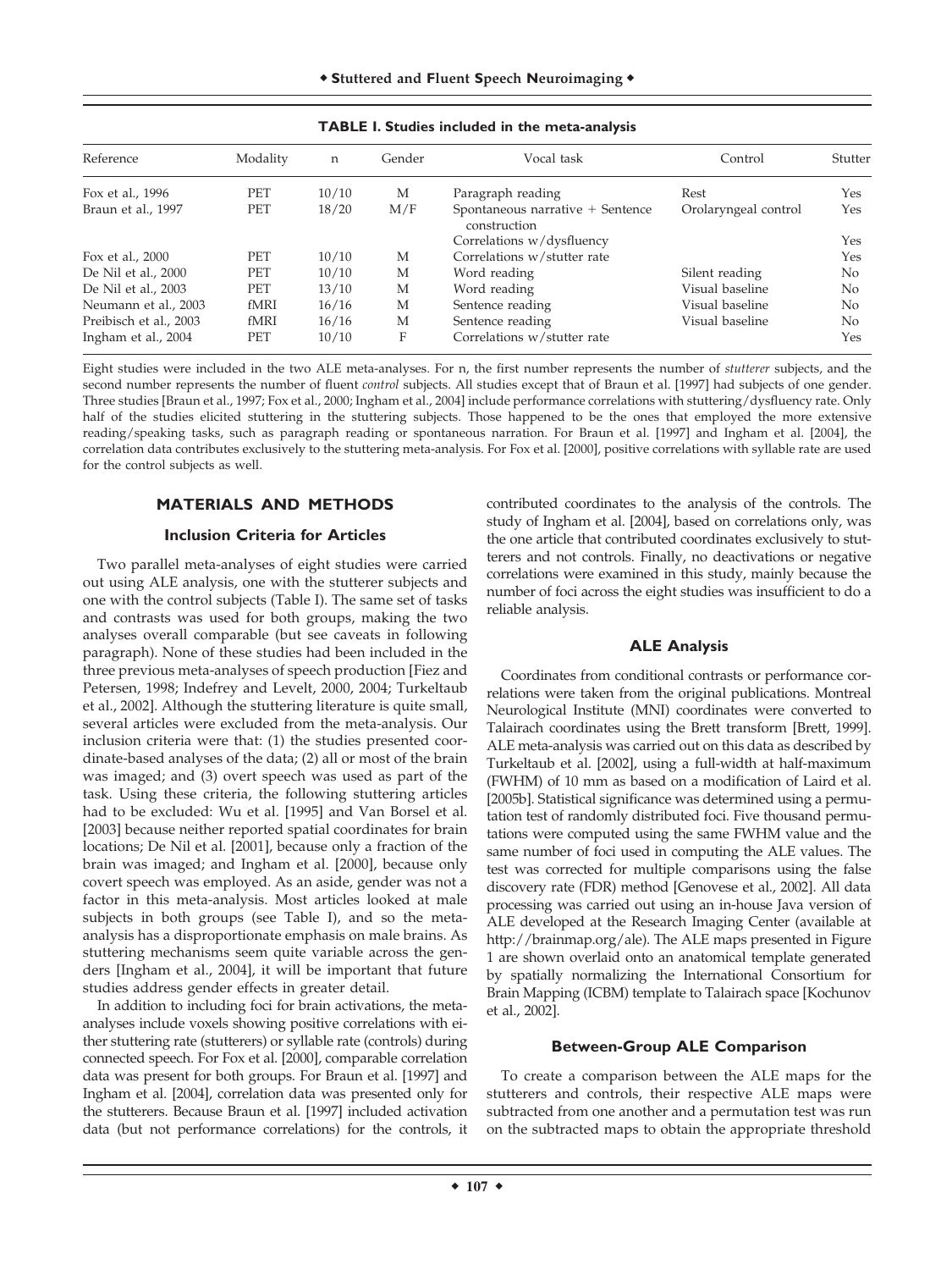| $1 - 1 - 1$                                                                                                                  |            |       |        |                                     |         |         |  |  |  |  |  |
|------------------------------------------------------------------------------------------------------------------------------|------------|-------|--------|-------------------------------------|---------|---------|--|--|--|--|--|
| Reference                                                                                                                    | Modality   | n     | Gender | Vocal task                          | Control | Stutter |  |  |  |  |  |
| Fox et al., 1996                                                                                                             | PET        | 10/10 | М      | Paragraph reading                   | Rest    | Yes     |  |  |  |  |  |
| <b>PET</b><br>M/F<br>Braun et al., 1997<br>18/20<br>Spontaneous narrative + Sentence<br>Orolaryngeal control<br>construction |            |       |        |                                     |         | Yes     |  |  |  |  |  |
|                                                                                                                              |            |       |        | Correlations w/dysfluency           |         | Yes     |  |  |  |  |  |
| Fox et al., 2000                                                                                                             | <b>PET</b> | 10/10 | M      | Correlations w/stutter rate         |         |         |  |  |  |  |  |
| De Nil et al., 2000                                                                                                          | PET        | 10/10 | M      | Word reading<br>Silent reading      |         |         |  |  |  |  |  |
| De Nil et al., 2003                                                                                                          | PET        | 13/10 | M      | Visual baseline<br>Word reading     |         |         |  |  |  |  |  |
| Neumann et al., 2003                                                                                                         | fMRI       | 16/16 | M      | Sentence reading<br>Visual baseline |         |         |  |  |  |  |  |
| Preibisch et al., 2003                                                                                                       | fMRI       | 16/16 | M      | Sentence reading<br>Visual baseline |         |         |  |  |  |  |  |
| Ingham et al., 2004                                                                                                          | PET        | 10/10 | F      | Correlations w/stutter rate         |         | Yes     |  |  |  |  |  |

#### **TABLE I. Studies included in the meta-analysis**

Eight studies were included in the two ALE meta-analyses. For n, the first number represents the number of *stutterer* subjects, and the second number represents the number of fluent *control* subjects. All studies except that of Braun et al. [1997] had subjects of one gender. Three studies [Braun et al., 1997; Fox et al., 2000; Ingham et al., 2004] include performance correlations with stuttering/dysfluency rate. Only half of the studies elicited stuttering in the stuttering subjects. Those happened to be the ones that employed the more extensive reading/speaking tasks, such as paragraph reading or spontaneous narration. For Braun et al. [1997] and Ingham et al. [2004], the correlation data contributes exclusively to the stuttering meta-analysis. For Fox et al. [2000], positive correlations with syllable rate are used for the control subjects as well.

#### **MATERIALS AND METHODS**

#### **Inclusion Criteria for Articles**

Two parallel meta-analyses of eight studies were carried out using ALE analysis, one with the stutterer subjects and one with the control subjects (Table I). The same set of tasks and contrasts was used for both groups, making the two analyses overall comparable (but see caveats in following paragraph). None of these studies had been included in the three previous meta-analyses of speech production [Fiez and Petersen, 1998; Indefrey and Levelt, 2000, 2004; Turkeltaub et al., 2002]. Although the stuttering literature is quite small, several articles were excluded from the meta-analysis. Our inclusion criteria were that: (1) the studies presented coordinate-based analyses of the data; (2) all or most of the brain was imaged; and (3) overt speech was used as part of the task. Using these criteria, the following stuttering articles had to be excluded: Wu et al. [1995] and Van Borsel et al. [2003] because neither reported spatial coordinates for brain locations; De Nil et al. [2001], because only a fraction of the brain was imaged; and Ingham et al. [2000], because only covert speech was employed. As an aside, gender was not a factor in this meta-analysis. Most articles looked at male subjects in both groups (see Table I), and so the metaanalysis has a disproportionate emphasis on male brains. As stuttering mechanisms seem quite variable across the genders [Ingham et al., 2004], it will be important that future studies address gender effects in greater detail.

In addition to including foci for brain activations, the metaanalyses include voxels showing positive correlations with either stuttering rate (stutterers) or syllable rate (controls) during connected speech. For Fox et al. [2000], comparable correlation data was present for both groups. For Braun et al. [1997] and Ingham et al. [2004], correlation data was presented only for the stutterers. Because Braun et al. [1997] included activation data (but not performance correlations) for the controls, it contributed coordinates to the analysis of the controls. The study of Ingham et al. [2004], based on correlations only, was the one article that contributed coordinates exclusively to stutterers and not controls. Finally, no deactivations or negative correlations were examined in this study, mainly because the number of foci across the eight studies was insufficient to do a reliable analysis.

#### **ALE Analysis**

Coordinates from conditional contrasts or performance correlations were taken from the original publications. Montreal Neurological Institute (MNI) coordinates were converted to Talairach coordinates using the Brett transform [Brett, 1999]. ALE meta-analysis was carried out on this data as described by Turkeltaub et al. [2002], using a full-width at half-maximum (FWHM) of 10 mm as based on a modification of Laird et al. [2005b]. Statistical significance was determined using a permutation test of randomly distributed foci. Five thousand permutations were computed using the same FWHM value and the same number of foci used in computing the ALE values. The test was corrected for multiple comparisons using the false discovery rate (FDR) method [Genovese et al., 2002]. All data processing was carried out using an in-house Java version of ALE developed at the Research Imaging Center (available at http://brainmap.org/ale). The ALE maps presented in Figure 1 are shown overlaid onto an anatomical template generated by spatially normalizing the International Consortium for Brain Mapping (ICBM) template to Talairach space [Kochunov et al., 2002].

#### **Between-Group ALE Comparison**

To create a comparison between the ALE maps for the stutterers and controls, their respective ALE maps were subtracted from one another and a permutation test was run on the subtracted maps to obtain the appropriate threshold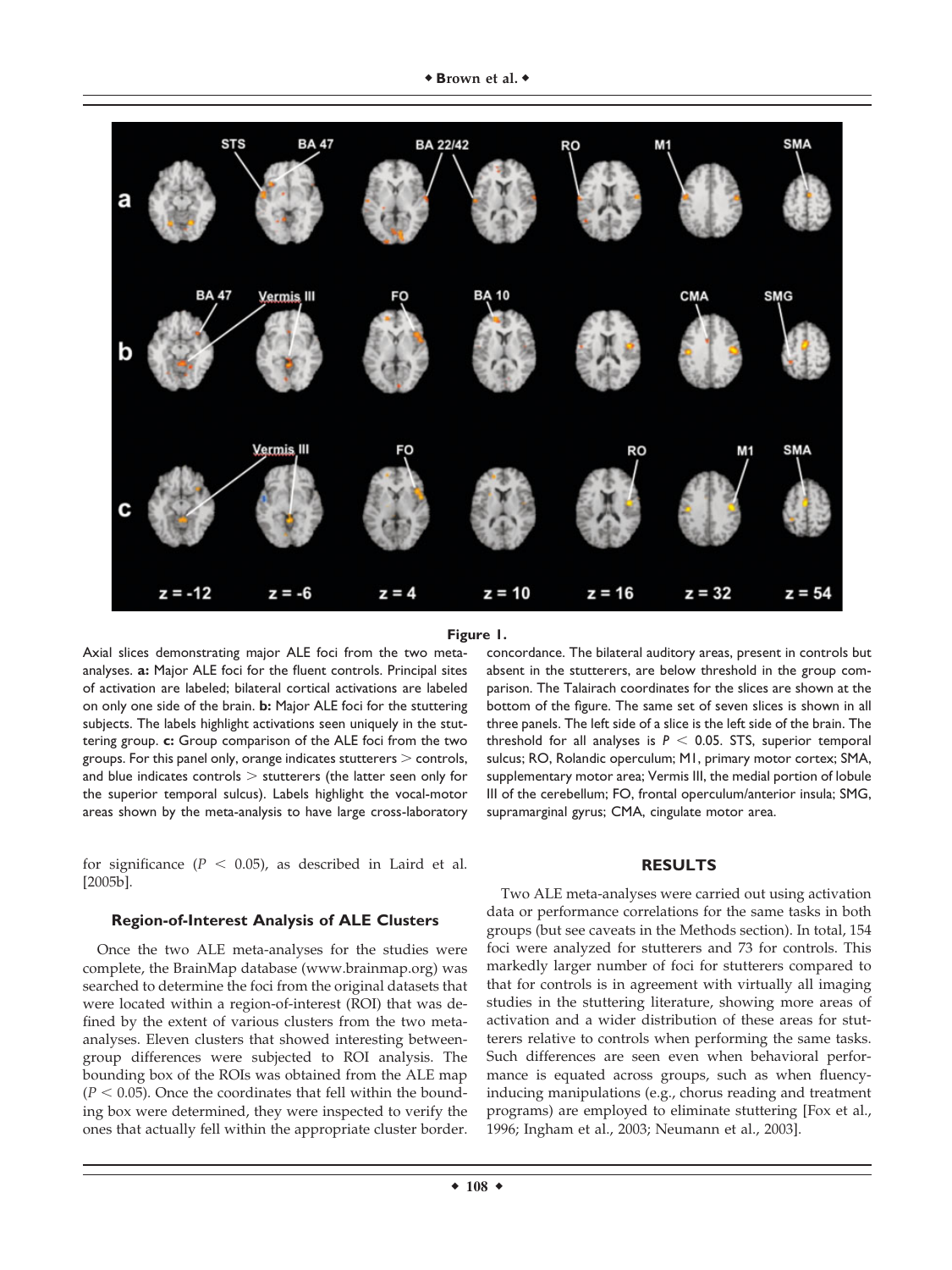

**Figure 1.**

Axial slices demonstrating major ALE foci from the two metaanalyses. **a:** Major ALE foci for the fluent controls. Principal sites of activation are labeled; bilateral cortical activations are labeled on only one side of the brain. **b:** Major ALE foci for the stuttering subjects. The labels highlight activations seen uniquely in the stuttering group. **c:** Group comparison of the ALE foci from the two groups. For this panel only, orange indicates stutterers  $>$  controls, and blue indicates controls  $>$  stutterers (the latter seen only for the superior temporal sulcus). Labels highlight the vocal-motor areas shown by the meta-analysis to have large cross-laboratory

for significance  $(P < 0.05)$ , as described in Laird et al. [2005b].

#### **Region-of-Interest Analysis of ALE Clusters**

Once the two ALE meta-analyses for the studies were complete, the BrainMap database (www.brainmap.org) was searched to determine the foci from the original datasets that were located within a region-of-interest (ROI) that was defined by the extent of various clusters from the two metaanalyses. Eleven clusters that showed interesting betweengroup differences were subjected to ROI analysis. The bounding box of the ROIs was obtained from the ALE map  $(P < 0.05)$ . Once the coordinates that fell within the bounding box were determined, they were inspected to verify the ones that actually fell within the appropriate cluster border. concordance. The bilateral auditory areas, present in controls but absent in the stutterers, are below threshold in the group comparison. The Talairach coordinates for the slices are shown at the bottom of the figure. The same set of seven slices is shown in all three panels. The left side of a slice is the left side of the brain. The threshold for all analyses is  $P < 0.05$ . STS, superior temporal sulcus; RO, Rolandic operculum; M1, primary motor cortex; SMA, supplementary motor area; Vermis III, the medial portion of lobule III of the cerebellum; FO, frontal operculum/anterior insula; SMG, supramarginal gyrus; CMA, cingulate motor area.

#### **RESULTS**

Two ALE meta-analyses were carried out using activation data or performance correlations for the same tasks in both groups (but see caveats in the Methods section). In total, 154 foci were analyzed for stutterers and 73 for controls. This markedly larger number of foci for stutterers compared to that for controls is in agreement with virtually all imaging studies in the stuttering literature, showing more areas of activation and a wider distribution of these areas for stutterers relative to controls when performing the same tasks. Such differences are seen even when behavioral performance is equated across groups, such as when fluencyinducing manipulations (e.g., chorus reading and treatment programs) are employed to eliminate stuttering [Fox et al., 1996; Ingham et al., 2003; Neumann et al., 2003].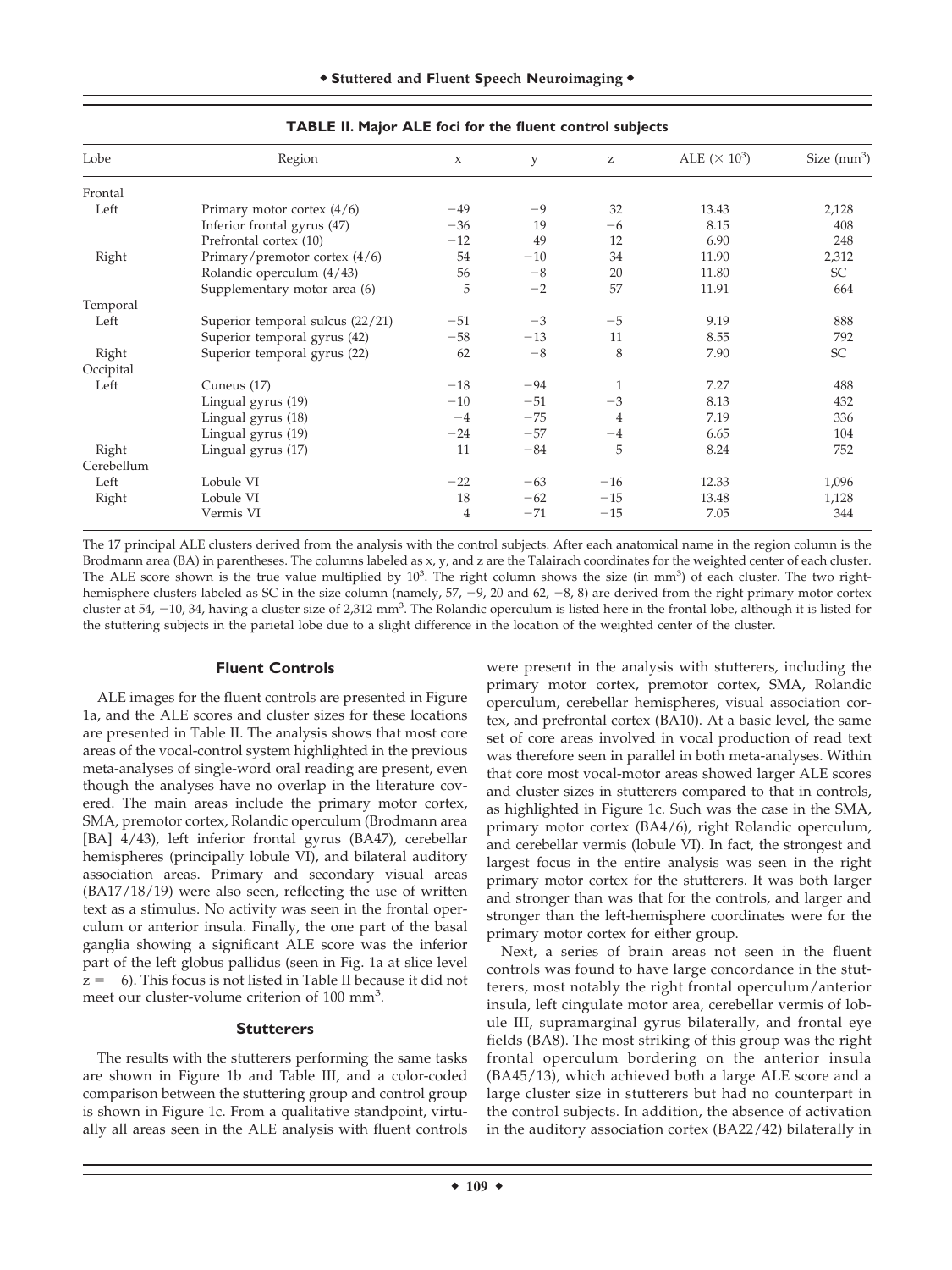| Lobe       | Region                           | y<br>$\boldsymbol{\mathsf{x}}$ |       | Z     | ALE $(\times 10^3)$ | Size $(mm^3)$ |  |
|------------|----------------------------------|--------------------------------|-------|-------|---------------------|---------------|--|
| Frontal    |                                  |                                |       |       |                     |               |  |
| Left       | Primary motor cortex $(4/6)$     | $-49$                          | -9    | 32    | 13.43               | 2,128         |  |
|            | Inferior frontal gyrus (47)      | $-36$                          | 19    | $-6$  | 8.15                | 408           |  |
|            | Prefrontal cortex (10)           | $-12$                          | 49    | 12    | 6.90                | 248           |  |
| Right      | Primary/premotor cortex (4/6)    | 54                             | $-10$ | 34    | 11.90               | 2,312         |  |
|            | Rolandic operculum (4/43)        | 56                             | $-8$  | 20    | 11.80               | SC            |  |
|            | Supplementary motor area (6)     | 5                              | $-2$  | 57    | 11.91               | 664           |  |
| Temporal   |                                  |                                |       |       |                     |               |  |
| Left       | Superior temporal sulcus (22/21) | $-51$                          | $-3$  | $-5$  | 9.19                | 888           |  |
|            | Superior temporal gyrus (42)     | $-58$                          | $-13$ | 11    | 8.55                | 792           |  |
| Right      | Superior temporal gyrus (22)     | 62                             | $-8$  | 8     | 7.90                | SC            |  |
| Occipital  |                                  |                                |       |       |                     |               |  |
| Left       | Cuneus (17)                      | $-18$                          | $-94$ |       | 7.27                | 488           |  |
|            | Lingual gyrus (19)               | $-10$                          | $-51$ | $-3$  | 8.13                | 432           |  |
|            | Lingual gyrus (18)               | $-4$                           | $-75$ | 4     | 7.19                | 336           |  |
|            | Lingual gyrus (19)               | $-24$                          | $-57$ | $-4$  | 6.65                | 104           |  |
| Right      | Lingual gyrus (17)               | 11                             | $-84$ | 5     | 8.24                | 752           |  |
| Cerebellum |                                  |                                |       |       |                     |               |  |
| Left       | Lobule VI                        | $-22$                          | $-63$ | $-16$ | 12.33               | 1,096         |  |
| Right      | Lobule VI                        | 18                             | $-62$ | $-15$ | 13.48               | 1,128         |  |
|            | Vermis VI                        | $\overline{4}$                 | $-71$ | $-15$ | 7.05                | 344           |  |

#### **TABLE II. Major ALE foci for the fluent control subjects**

The 17 principal ALE clusters derived from the analysis with the control subjects. After each anatomical name in the region column is the Brodmann area (BA) in parentheses. The columns labeled as x, y, and z are the Talairach coordinates for the weighted center of each cluster. The ALE score shown is the true value multiplied by  $10<sup>3</sup>$ . The right column shows the size (in mm<sup>3</sup>) of each cluster. The two righthemisphere clusters labeled as SC in the size column (namely,  $57, -9, 20$  and  $62, -8, 8$ ) are derived from the right primary motor cortex cluster at 54, -10, 34, having a cluster size of 2,312 mm<sup>3</sup>. The Rolandic operculum is listed here in the frontal lobe, although it is listed for the stuttering subjects in the parietal lobe due to a slight difference in the location of the weighted center of the cluster.

#### **Fluent Controls**

ALE images for the fluent controls are presented in Figure 1a, and the ALE scores and cluster sizes for these locations are presented in Table II. The analysis shows that most core areas of the vocal-control system highlighted in the previous meta-analyses of single-word oral reading are present, even though the analyses have no overlap in the literature covered. The main areas include the primary motor cortex, SMA, premotor cortex, Rolandic operculum (Brodmann area [BA] 4/43), left inferior frontal gyrus (BA47), cerebellar hemispheres (principally lobule VI), and bilateral auditory association areas. Primary and secondary visual areas (BA17/18/19) were also seen, reflecting the use of written text as a stimulus. No activity was seen in the frontal operculum or anterior insula. Finally, the one part of the basal ganglia showing a significant ALE score was the inferior part of the left globus pallidus (seen in Fig. 1a at slice level  $z = -6$ ). This focus is not listed in Table II because it did not meet our cluster-volume criterion of 100 mm<sup>3</sup>.

#### **Stutterers**

The results with the stutterers performing the same tasks are shown in Figure 1b and Table III, and a color-coded comparison between the stuttering group and control group is shown in Figure 1c. From a qualitative standpoint, virtually all areas seen in the ALE analysis with fluent controls were present in the analysis with stutterers, including the primary motor cortex, premotor cortex, SMA, Rolandic operculum, cerebellar hemispheres, visual association cortex, and prefrontal cortex (BA10). At a basic level, the same set of core areas involved in vocal production of read text was therefore seen in parallel in both meta-analyses. Within that core most vocal-motor areas showed larger ALE scores and cluster sizes in stutterers compared to that in controls, as highlighted in Figure 1c. Such was the case in the SMA, primary motor cortex (BA4/6), right Rolandic operculum, and cerebellar vermis (lobule VI). In fact, the strongest and largest focus in the entire analysis was seen in the right primary motor cortex for the stutterers. It was both larger and stronger than was that for the controls, and larger and stronger than the left-hemisphere coordinates were for the primary motor cortex for either group.

Next, a series of brain areas not seen in the fluent controls was found to have large concordance in the stutterers, most notably the right frontal operculum/anterior insula, left cingulate motor area, cerebellar vermis of lobule III, supramarginal gyrus bilaterally, and frontal eye fields (BA8). The most striking of this group was the right frontal operculum bordering on the anterior insula (BA45/13), which achieved both a large ALE score and a large cluster size in stutterers but had no counterpart in the control subjects. In addition, the absence of activation in the auditory association cortex (BA22/42) bilaterally in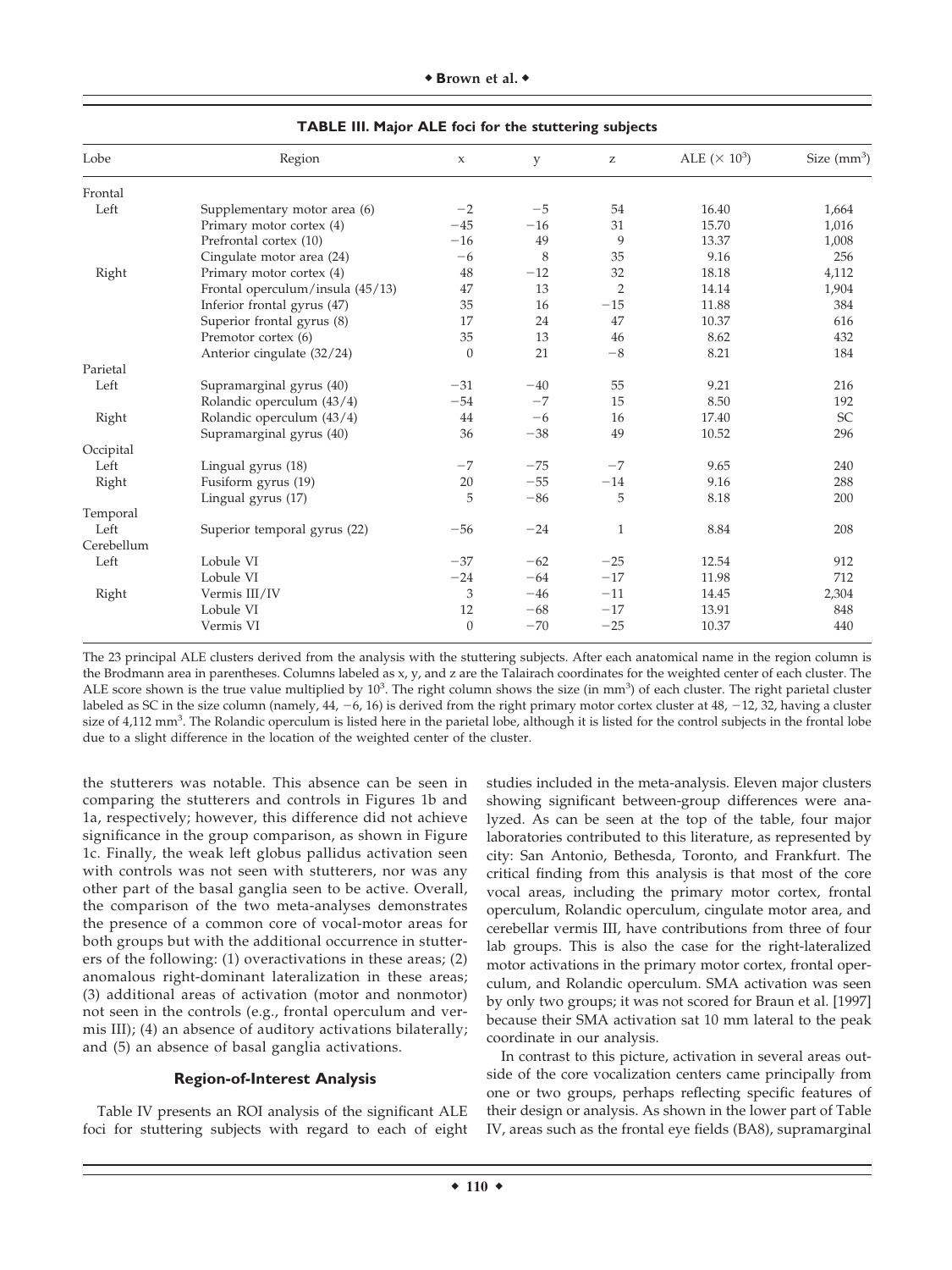| $\triangle$ Brown et al. $\triangle$ |  |  |  |
|--------------------------------------|--|--|--|
|--------------------------------------|--|--|--|

| .          |                                  |                |       |       |                                  |              |  |  |  |
|------------|----------------------------------|----------------|-------|-------|----------------------------------|--------------|--|--|--|
| Lobe       | Region                           | $\mathbf x$    | y     | Z     | ALE ( $\times$ 10 <sup>3</sup> ) | Size $(mm3)$ |  |  |  |
| Frontal    |                                  |                |       |       |                                  |              |  |  |  |
| Left       | Supplementary motor area (6)     | $-2$           | $-5$  | 54    | 16.40                            | 1,664        |  |  |  |
|            | Primary motor cortex (4)         | $-45$          | $-16$ | 31    | 15.70                            | 1,016        |  |  |  |
|            | Prefrontal cortex (10)           | $-16$          | 49    | 9     | 13.37                            | 1,008        |  |  |  |
|            | Cingulate motor area (24)        | $-6$           | 8     | 35    | 9.16                             | 256          |  |  |  |
| Right      | Primary motor cortex (4)         | 48             | $-12$ | 32    | 18.18                            | 4,112        |  |  |  |
|            | Frontal operculum/insula (45/13) | 47             | 13    | 2     | 14.14                            | 1,904        |  |  |  |
|            | Inferior frontal gyrus (47)      | 35             | 16    | $-15$ | 11.88                            | 384          |  |  |  |
|            | Superior frontal gyrus (8)       | 17             | 24    | 47    | 10.37                            | 616          |  |  |  |
|            | Premotor cortex (6)              | 35             | 13    | 46    | 8.62                             | 432          |  |  |  |
|            | Anterior cingulate (32/24)       | $\mathbf{0}$   | 21    | $-8$  | 8.21                             | 184          |  |  |  |
| Parietal   |                                  |                |       |       |                                  |              |  |  |  |
| Left       | Supramarginal gyrus (40)         | $-31$          | $-40$ | 55    | 9.21                             | 216          |  |  |  |
|            | Rolandic operculum (43/4)        | $-54$          | $-7$  | 15    | 8.50                             | 192          |  |  |  |
| Right      | Rolandic operculum (43/4)        | 44             | $-6$  | 16    | 17.40                            | SC           |  |  |  |
|            | Supramarginal gyrus (40)         | 36             | $-38$ | 49    | 10.52                            | 296          |  |  |  |
| Occipital  |                                  |                |       |       |                                  |              |  |  |  |
| Left       | Lingual gyrus (18)               | $-7$           | $-75$ | $-7$  | 9.65                             | 240          |  |  |  |
| Right      | Fusiform gyrus (19)              | 20             | $-55$ | $-14$ | 9.16                             | 288          |  |  |  |
|            | Lingual gyrus (17)               | 5              | $-86$ | 5     | 8.18                             | 200          |  |  |  |
| Temporal   |                                  |                |       |       |                                  |              |  |  |  |
| Left       | Superior temporal gyrus (22)     | $-56$          | $-24$ | 1     | 8.84                             | 208          |  |  |  |
| Cerebellum |                                  |                |       |       |                                  |              |  |  |  |
| Left       | Lobule VI                        | $-37$          | $-62$ | $-25$ | 12.54                            | 912          |  |  |  |
|            | Lobule VI                        | $-24$          | $-64$ | $-17$ | 11.98                            | 712          |  |  |  |
| Right      | Vermis III/IV                    | 3              | $-46$ | $-11$ | 14.45                            | 2,304        |  |  |  |
|            | Lobule VI                        | 12             | $-68$ | $-17$ | 13.91                            | 848          |  |  |  |
|            | Vermis VI                        | $\overline{0}$ | $-70$ | $-25$ | 10.37                            | 440          |  |  |  |

|  |  |  | TABLE III. Major ALE foci for the stuttering subjects |  |
|--|--|--|-------------------------------------------------------|--|
|  |  |  |                                                       |  |

The 23 principal ALE clusters derived from the analysis with the stuttering subjects. After each anatomical name in the region column is the Brodmann area in parentheses. Columns labeled as x, y, and z are the Talairach coordinates for the weighted center of each cluster. The ALE score shown is the true value multiplied by  $10^3$ . The right column shows the size (in mm<sup>3</sup>) of each cluster. The right parietal cluster labeled as SC in the size column (namely,  $44$ ,  $-6$ , 16) is derived from the right primary motor cortex cluster at  $48$ ,  $-12$ ,  $32$ , having a cluster size of 4,112 mm<sup>3</sup>. The Rolandic operculum is listed here in the parietal lobe, although it is listed for the control subjects in the frontal lobe due to a slight difference in the location of the weighted center of the cluster.

the stutterers was notable. This absence can be seen in comparing the stutterers and controls in Figures 1b and 1a, respectively; however, this difference did not achieve significance in the group comparison, as shown in Figure 1c. Finally, the weak left globus pallidus activation seen with controls was not seen with stutterers, nor was any other part of the basal ganglia seen to be active. Overall, the comparison of the two meta-analyses demonstrates the presence of a common core of vocal-motor areas for both groups but with the additional occurrence in stutterers of the following: (1) overactivations in these areas; (2) anomalous right-dominant lateralization in these areas; (3) additional areas of activation (motor and nonmotor) not seen in the controls (e.g., frontal operculum and vermis III); (4) an absence of auditory activations bilaterally; and (5) an absence of basal ganglia activations.

## **Region-of-Interest Analysis**

Table IV presents an ROI analysis of the significant ALE foci for stuttering subjects with regard to each of eight studies included in the meta-analysis. Eleven major clusters showing significant between-group differences were analyzed. As can be seen at the top of the table, four major laboratories contributed to this literature, as represented by city: San Antonio, Bethesda, Toronto, and Frankfurt. The critical finding from this analysis is that most of the core vocal areas, including the primary motor cortex, frontal operculum, Rolandic operculum, cingulate motor area, and cerebellar vermis III, have contributions from three of four lab groups. This is also the case for the right-lateralized motor activations in the primary motor cortex, frontal operculum, and Rolandic operculum. SMA activation was seen by only two groups; it was not scored for Braun et al. [1997] because their SMA activation sat 10 mm lateral to the peak coordinate in our analysis.

In contrast to this picture, activation in several areas outside of the core vocalization centers came principally from one or two groups, perhaps reflecting specific features of their design or analysis. As shown in the lower part of Table IV, areas such as the frontal eye fields (BA8), supramarginal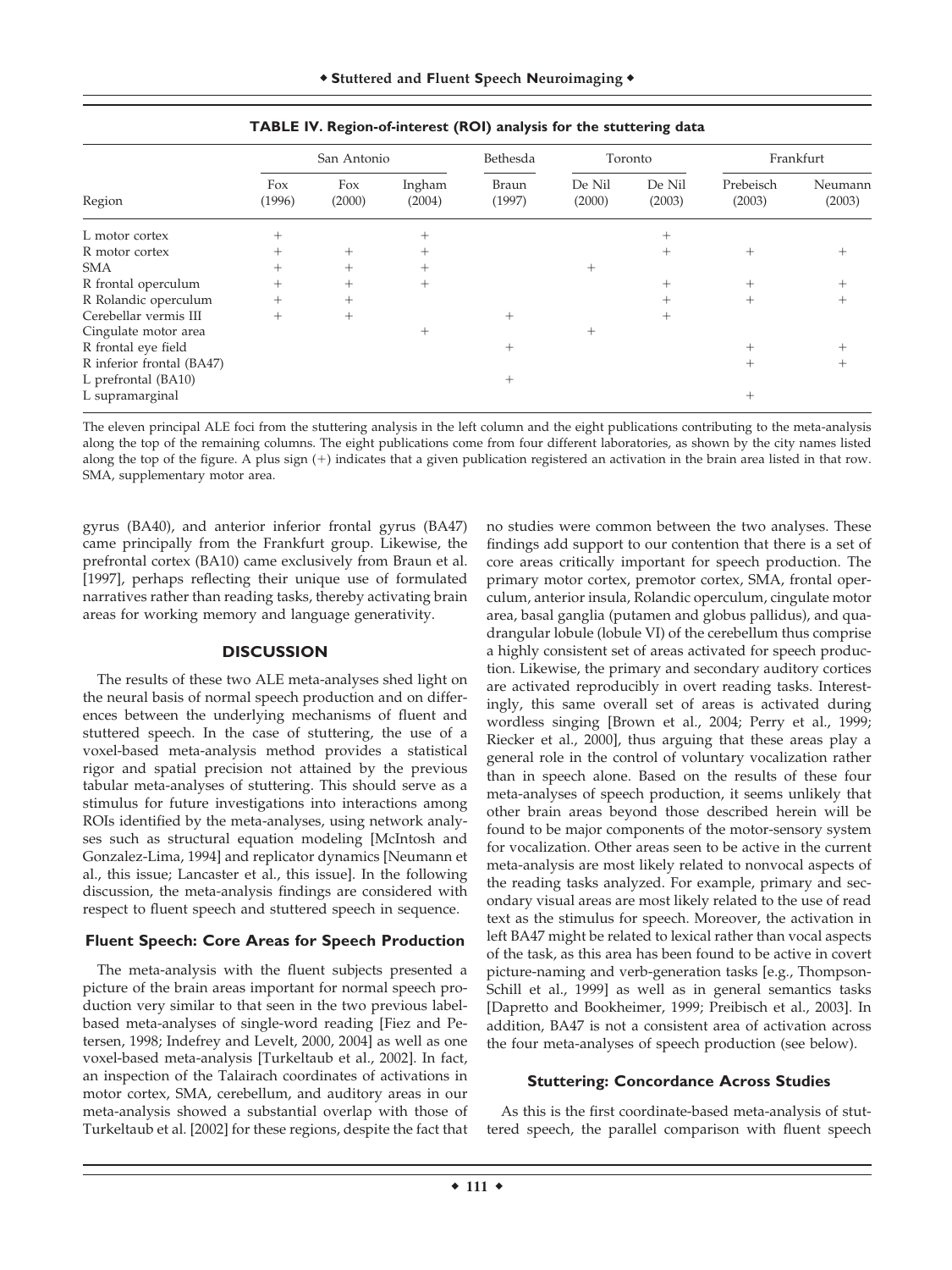|                           | San Antonio   |               |                  | Bethesda               |                  | Toronto          | Frankfurt           |                   |
|---------------------------|---------------|---------------|------------------|------------------------|------------------|------------------|---------------------|-------------------|
| Region                    | Fox<br>(1996) | Fox<br>(2000) | Ingham<br>(2004) | <b>Braun</b><br>(1997) | De Nil<br>(2000) | De Nil<br>(2003) | Prebeisch<br>(2003) | Neumann<br>(2003) |
| L motor cortex            | $^{+}$        |               |                  |                        |                  | $^{+}$           |                     |                   |
| R motor cortex            | $^{+}$        | $^{+}$        |                  |                        |                  | $\! +$           | $\! +$              |                   |
| <b>SMA</b>                | $+$           | $^{+}$        | $^{+}$           |                        | $^{+}$           |                  |                     |                   |
| R frontal operculum       | $^{+}$        | $^{+}$        | $^{+}$           |                        |                  | $\! +$           | $^{+}$              |                   |
| R Rolandic operculum      | $^{+}$        | $^{+}$        |                  |                        |                  | $^+$             | $^{+}$              |                   |
| Cerebellar vermis III     | $+$           | $^{+}$        |                  | $^{+}$                 |                  | $\! +$           |                     |                   |
| Cingulate motor area      |               |               | $^+$             |                        | $^+$             |                  |                     |                   |
| R frontal eye field       |               |               |                  | $^{+}$                 |                  |                  |                     |                   |
| R inferior frontal (BA47) |               |               |                  |                        |                  |                  |                     |                   |
| L prefrontal (BA10)       |               |               |                  | $^{+}$                 |                  |                  |                     |                   |
| L supramarginal           |               |               |                  |                        |                  |                  |                     |                   |

The eleven principal ALE foci from the stuttering analysis in the left column and the eight publications contributing to the meta-analysis along the top of the remaining columns. The eight publications come from four different laboratories, as shown by the city names listed along the top of the figure. A plus sign (+) indicates that a given publication registered an activation in the brain area listed in that row. SMA, supplementary motor area.

gyrus (BA40), and anterior inferior frontal gyrus (BA47) came principally from the Frankfurt group. Likewise, the prefrontal cortex (BA10) came exclusively from Braun et al. [1997], perhaps reflecting their unique use of formulated narratives rather than reading tasks, thereby activating brain areas for working memory and language generativity.

#### **DISCUSSION**

The results of these two ALE meta-analyses shed light on the neural basis of normal speech production and on differences between the underlying mechanisms of fluent and stuttered speech. In the case of stuttering, the use of a voxel-based meta-analysis method provides a statistical rigor and spatial precision not attained by the previous tabular meta-analyses of stuttering. This should serve as a stimulus for future investigations into interactions among ROIs identified by the meta-analyses, using network analyses such as structural equation modeling [McIntosh and Gonzalez-Lima, 1994] and replicator dynamics [Neumann et al., this issue; Lancaster et al., this issue]. In the following discussion, the meta-analysis findings are considered with respect to fluent speech and stuttered speech in sequence.

#### **Fluent Speech: Core Areas for Speech Production**

The meta-analysis with the fluent subjects presented a picture of the brain areas important for normal speech production very similar to that seen in the two previous labelbased meta-analyses of single-word reading [Fiez and Petersen, 1998; Indefrey and Levelt, 2000, 2004] as well as one voxel-based meta-analysis [Turkeltaub et al., 2002]. In fact, an inspection of the Talairach coordinates of activations in motor cortex, SMA, cerebellum, and auditory areas in our meta-analysis showed a substantial overlap with those of Turkeltaub et al. [2002] for these regions, despite the fact that no studies were common between the two analyses. These findings add support to our contention that there is a set of core areas critically important for speech production. The primary motor cortex, premotor cortex, SMA, frontal operculum, anterior insula, Rolandic operculum, cingulate motor area, basal ganglia (putamen and globus pallidus), and quadrangular lobule (lobule VI) of the cerebellum thus comprise a highly consistent set of areas activated for speech production. Likewise, the primary and secondary auditory cortices are activated reproducibly in overt reading tasks. Interestingly, this same overall set of areas is activated during wordless singing [Brown et al., 2004; Perry et al., 1999; Riecker et al., 2000], thus arguing that these areas play a general role in the control of voluntary vocalization rather than in speech alone. Based on the results of these four meta-analyses of speech production, it seems unlikely that other brain areas beyond those described herein will be found to be major components of the motor-sensory system for vocalization. Other areas seen to be active in the current meta-analysis are most likely related to nonvocal aspects of the reading tasks analyzed. For example, primary and secondary visual areas are most likely related to the use of read text as the stimulus for speech. Moreover, the activation in left BA47 might be related to lexical rather than vocal aspects of the task, as this area has been found to be active in covert picture-naming and verb-generation tasks [e.g., Thompson-Schill et al., 1999] as well as in general semantics tasks [Dapretto and Bookheimer, 1999; Preibisch et al., 2003]. In addition, BA47 is not a consistent area of activation across the four meta-analyses of speech production (see below).

#### **Stuttering: Concordance Across Studies**

As this is the first coordinate-based meta-analysis of stuttered speech, the parallel comparison with fluent speech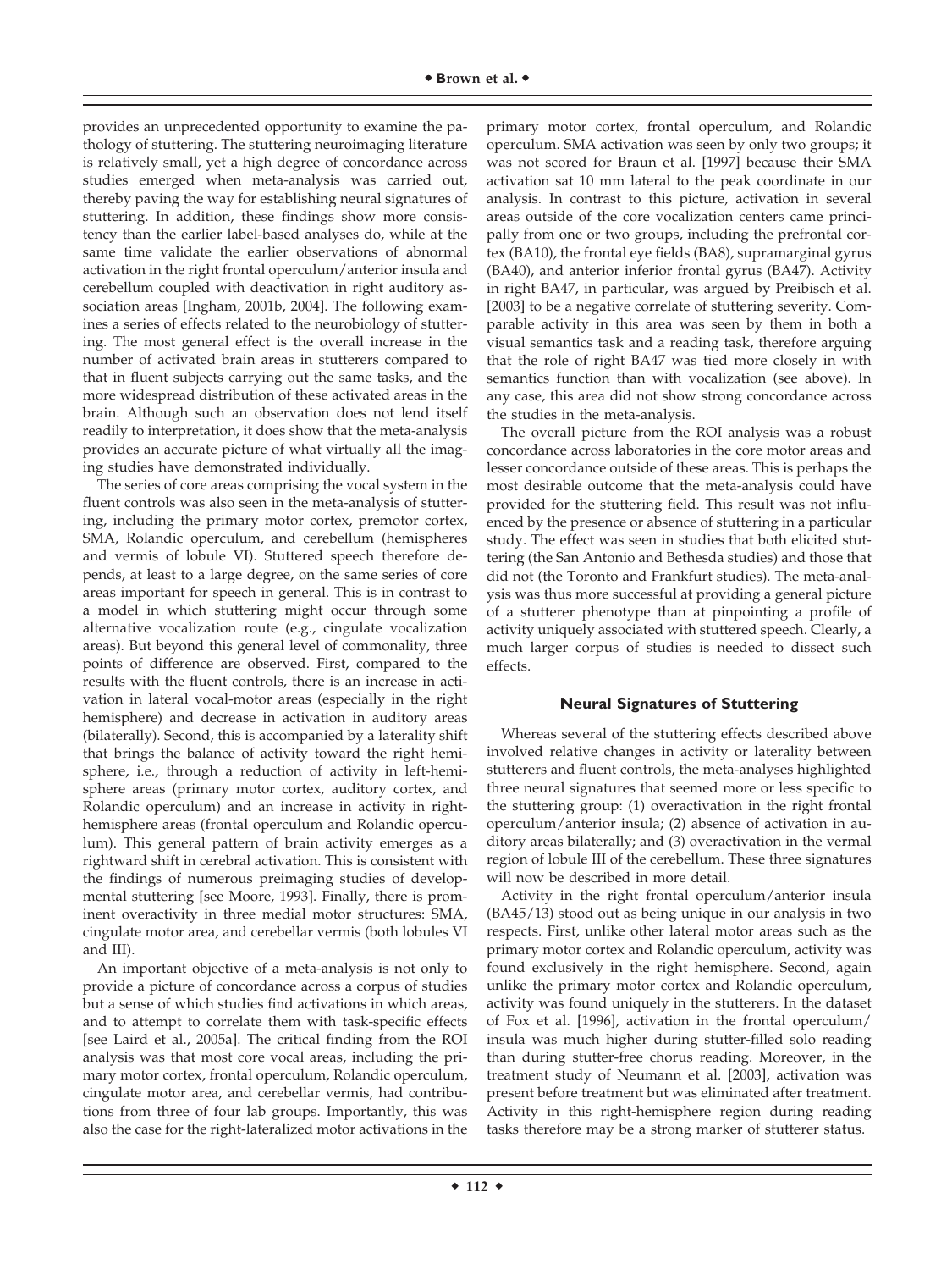provides an unprecedented opportunity to examine the pathology of stuttering. The stuttering neuroimaging literature is relatively small, yet a high degree of concordance across studies emerged when meta-analysis was carried out, thereby paving the way for establishing neural signatures of stuttering. In addition, these findings show more consistency than the earlier label-based analyses do, while at the same time validate the earlier observations of abnormal activation in the right frontal operculum/anterior insula and cerebellum coupled with deactivation in right auditory association areas [Ingham, 2001b, 2004]. The following examines a series of effects related to the neurobiology of stuttering. The most general effect is the overall increase in the number of activated brain areas in stutterers compared to that in fluent subjects carrying out the same tasks, and the more widespread distribution of these activated areas in the brain. Although such an observation does not lend itself readily to interpretation, it does show that the meta-analysis provides an accurate picture of what virtually all the imaging studies have demonstrated individually.

The series of core areas comprising the vocal system in the fluent controls was also seen in the meta-analysis of stuttering, including the primary motor cortex, premotor cortex, SMA, Rolandic operculum, and cerebellum (hemispheres and vermis of lobule VI). Stuttered speech therefore depends, at least to a large degree, on the same series of core areas important for speech in general. This is in contrast to a model in which stuttering might occur through some alternative vocalization route (e.g., cingulate vocalization areas). But beyond this general level of commonality, three points of difference are observed. First, compared to the results with the fluent controls, there is an increase in activation in lateral vocal-motor areas (especially in the right hemisphere) and decrease in activation in auditory areas (bilaterally). Second, this is accompanied by a laterality shift that brings the balance of activity toward the right hemisphere, i.e., through a reduction of activity in left-hemisphere areas (primary motor cortex, auditory cortex, and Rolandic operculum) and an increase in activity in righthemisphere areas (frontal operculum and Rolandic operculum). This general pattern of brain activity emerges as a rightward shift in cerebral activation. This is consistent with the findings of numerous preimaging studies of developmental stuttering [see Moore, 1993]. Finally, there is prominent overactivity in three medial motor structures: SMA, cingulate motor area, and cerebellar vermis (both lobules VI and III).

An important objective of a meta-analysis is not only to provide a picture of concordance across a corpus of studies but a sense of which studies find activations in which areas, and to attempt to correlate them with task-specific effects [see Laird et al., 2005a]. The critical finding from the ROI analysis was that most core vocal areas, including the primary motor cortex, frontal operculum, Rolandic operculum, cingulate motor area, and cerebellar vermis, had contributions from three of four lab groups. Importantly, this was also the case for the right-lateralized motor activations in the primary motor cortex, frontal operculum, and Rolandic operculum. SMA activation was seen by only two groups; it was not scored for Braun et al. [1997] because their SMA activation sat 10 mm lateral to the peak coordinate in our analysis. In contrast to this picture, activation in several areas outside of the core vocalization centers came principally from one or two groups, including the prefrontal cortex (BA10), the frontal eye fields (BA8), supramarginal gyrus (BA40), and anterior inferior frontal gyrus (BA47). Activity in right BA47, in particular, was argued by Preibisch et al. [2003] to be a negative correlate of stuttering severity. Comparable activity in this area was seen by them in both a visual semantics task and a reading task, therefore arguing that the role of right BA47 was tied more closely in with semantics function than with vocalization (see above). In any case, this area did not show strong concordance across the studies in the meta-analysis.

The overall picture from the ROI analysis was a robust concordance across laboratories in the core motor areas and lesser concordance outside of these areas. This is perhaps the most desirable outcome that the meta-analysis could have provided for the stuttering field. This result was not influenced by the presence or absence of stuttering in a particular study. The effect was seen in studies that both elicited stuttering (the San Antonio and Bethesda studies) and those that did not (the Toronto and Frankfurt studies). The meta-analysis was thus more successful at providing a general picture of a stutterer phenotype than at pinpointing a profile of activity uniquely associated with stuttered speech. Clearly, a much larger corpus of studies is needed to dissect such effects.

#### **Neural Signatures of Stuttering**

Whereas several of the stuttering effects described above involved relative changes in activity or laterality between stutterers and fluent controls, the meta-analyses highlighted three neural signatures that seemed more or less specific to the stuttering group: (1) overactivation in the right frontal operculum/anterior insula; (2) absence of activation in auditory areas bilaterally; and (3) overactivation in the vermal region of lobule III of the cerebellum. These three signatures will now be described in more detail.

Activity in the right frontal operculum/anterior insula (BA45/13) stood out as being unique in our analysis in two respects. First, unlike other lateral motor areas such as the primary motor cortex and Rolandic operculum, activity was found exclusively in the right hemisphere. Second, again unlike the primary motor cortex and Rolandic operculum, activity was found uniquely in the stutterers. In the dataset of Fox et al. [1996], activation in the frontal operculum/ insula was much higher during stutter-filled solo reading than during stutter-free chorus reading. Moreover, in the treatment study of Neumann et al. [2003], activation was present before treatment but was eliminated after treatment. Activity in this right-hemisphere region during reading tasks therefore may be a strong marker of stutterer status.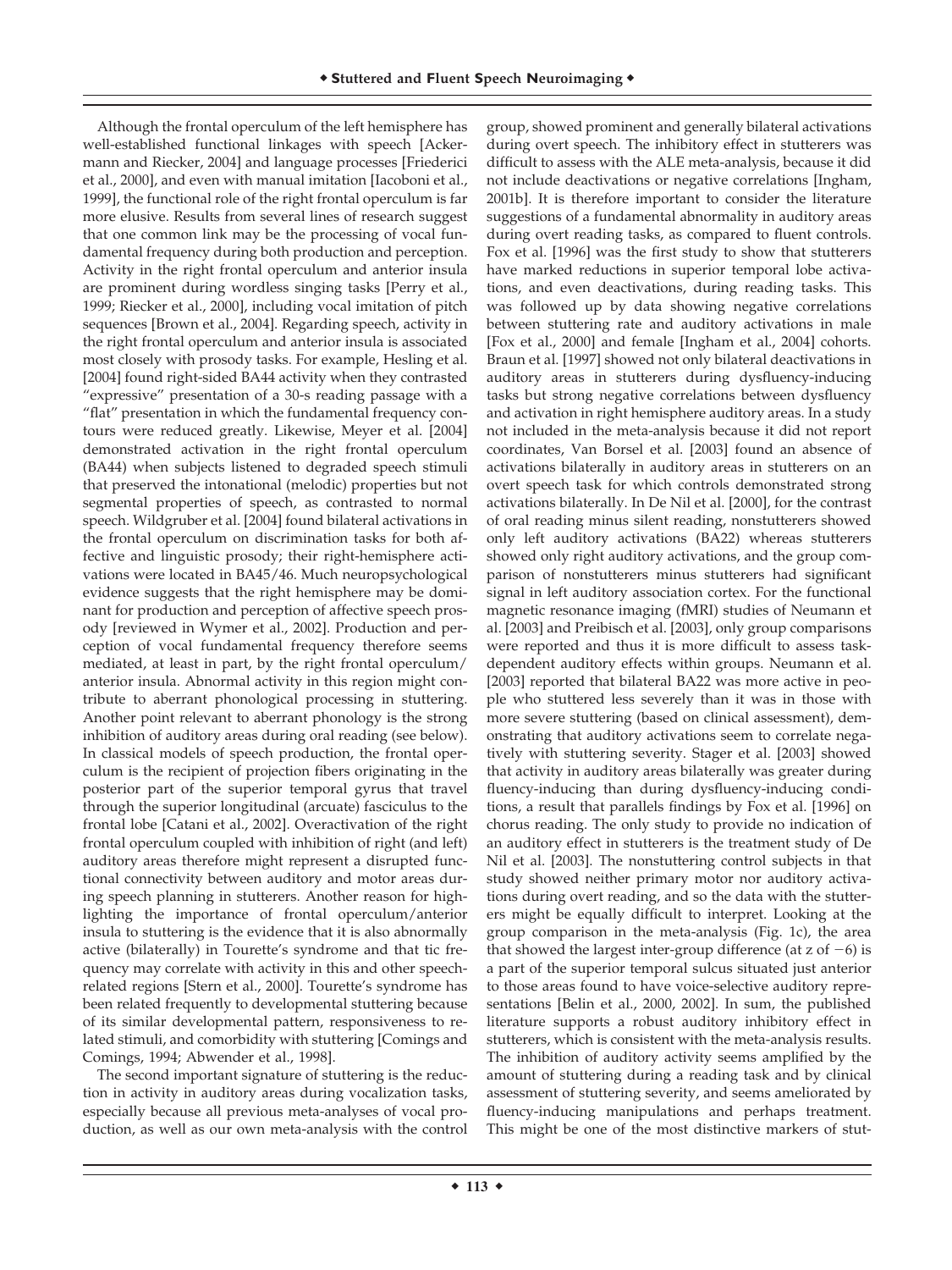Although the frontal operculum of the left hemisphere has well-established functional linkages with speech [Ackermann and Riecker, 2004] and language processes [Friederici et al., 2000], and even with manual imitation [Iacoboni et al., 1999], the functional role of the right frontal operculum is far more elusive. Results from several lines of research suggest that one common link may be the processing of vocal fundamental frequency during both production and perception. Activity in the right frontal operculum and anterior insula are prominent during wordless singing tasks [Perry et al., 1999; Riecker et al., 2000], including vocal imitation of pitch sequences [Brown et al., 2004]. Regarding speech, activity in the right frontal operculum and anterior insula is associated most closely with prosody tasks. For example, Hesling et al. [2004] found right-sided BA44 activity when they contrasted "expressive" presentation of a 30-s reading passage with a "flat" presentation in which the fundamental frequency contours were reduced greatly. Likewise, Meyer et al. [2004] demonstrated activation in the right frontal operculum (BA44) when subjects listened to degraded speech stimuli that preserved the intonational (melodic) properties but not segmental properties of speech, as contrasted to normal speech. Wildgruber et al. [2004] found bilateral activations in the frontal operculum on discrimination tasks for both affective and linguistic prosody; their right-hemisphere activations were located in BA45/46. Much neuropsychological evidence suggests that the right hemisphere may be dominant for production and perception of affective speech prosody [reviewed in Wymer et al., 2002]. Production and perception of vocal fundamental frequency therefore seems mediated, at least in part, by the right frontal operculum/ anterior insula. Abnormal activity in this region might contribute to aberrant phonological processing in stuttering. Another point relevant to aberrant phonology is the strong inhibition of auditory areas during oral reading (see below). In classical models of speech production, the frontal operculum is the recipient of projection fibers originating in the posterior part of the superior temporal gyrus that travel through the superior longitudinal (arcuate) fasciculus to the frontal lobe [Catani et al., 2002]. Overactivation of the right frontal operculum coupled with inhibition of right (and left) auditory areas therefore might represent a disrupted functional connectivity between auditory and motor areas during speech planning in stutterers. Another reason for highlighting the importance of frontal operculum/anterior insula to stuttering is the evidence that it is also abnormally active (bilaterally) in Tourette's syndrome and that tic frequency may correlate with activity in this and other speechrelated regions [Stern et al., 2000]. Tourette's syndrome has been related frequently to developmental stuttering because of its similar developmental pattern, responsiveness to related stimuli, and comorbidity with stuttering [Comings and Comings, 1994; Abwender et al., 1998].

The second important signature of stuttering is the reduction in activity in auditory areas during vocalization tasks, especially because all previous meta-analyses of vocal production, as well as our own meta-analysis with the control group, showed prominent and generally bilateral activations during overt speech. The inhibitory effect in stutterers was difficult to assess with the ALE meta-analysis, because it did not include deactivations or negative correlations [Ingham, 2001b]. It is therefore important to consider the literature suggestions of a fundamental abnormality in auditory areas during overt reading tasks, as compared to fluent controls. Fox et al. [1996] was the first study to show that stutterers have marked reductions in superior temporal lobe activations, and even deactivations, during reading tasks. This was followed up by data showing negative correlations between stuttering rate and auditory activations in male [Fox et al., 2000] and female [Ingham et al., 2004] cohorts. Braun et al. [1997] showed not only bilateral deactivations in auditory areas in stutterers during dysfluency-inducing tasks but strong negative correlations between dysfluency and activation in right hemisphere auditory areas. In a study not included in the meta-analysis because it did not report coordinates, Van Borsel et al. [2003] found an absence of activations bilaterally in auditory areas in stutterers on an overt speech task for which controls demonstrated strong activations bilaterally. In De Nil et al. [2000], for the contrast of oral reading minus silent reading, nonstutterers showed only left auditory activations (BA22) whereas stutterers showed only right auditory activations, and the group comparison of nonstutterers minus stutterers had significant signal in left auditory association cortex. For the functional magnetic resonance imaging (fMRI) studies of Neumann et al. [2003] and Preibisch et al. [2003], only group comparisons were reported and thus it is more difficult to assess taskdependent auditory effects within groups. Neumann et al. [2003] reported that bilateral BA22 was more active in people who stuttered less severely than it was in those with more severe stuttering (based on clinical assessment), demonstrating that auditory activations seem to correlate negatively with stuttering severity. Stager et al. [2003] showed that activity in auditory areas bilaterally was greater during fluency-inducing than during dysfluency-inducing conditions, a result that parallels findings by Fox et al. [1996] on chorus reading. The only study to provide no indication of an auditory effect in stutterers is the treatment study of De Nil et al. [2003]. The nonstuttering control subjects in that study showed neither primary motor nor auditory activations during overt reading, and so the data with the stutterers might be equally difficult to interpret. Looking at the group comparison in the meta-analysis (Fig. 1c), the area that showed the largest inter-group difference (at  $z$  of  $-6$ ) is a part of the superior temporal sulcus situated just anterior to those areas found to have voice-selective auditory representations [Belin et al., 2000, 2002]. In sum, the published literature supports a robust auditory inhibitory effect in stutterers, which is consistent with the meta-analysis results. The inhibition of auditory activity seems amplified by the amount of stuttering during a reading task and by clinical assessment of stuttering severity, and seems ameliorated by fluency-inducing manipulations and perhaps treatment. This might be one of the most distinctive markers of stut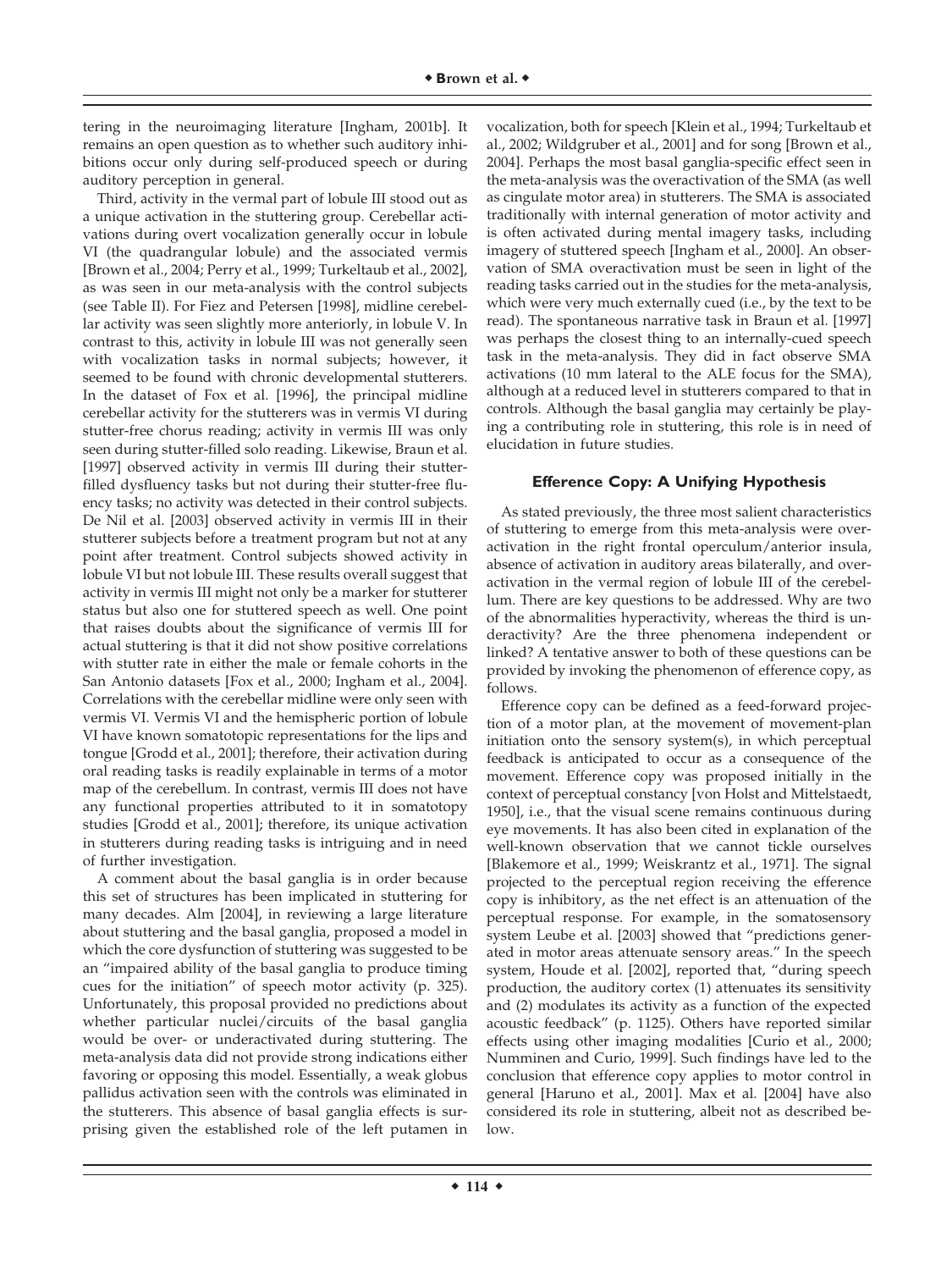tering in the neuroimaging literature [Ingham, 2001b]. It remains an open question as to whether such auditory inhibitions occur only during self-produced speech or during auditory perception in general.

Third, activity in the vermal part of lobule III stood out as a unique activation in the stuttering group. Cerebellar activations during overt vocalization generally occur in lobule VI (the quadrangular lobule) and the associated vermis [Brown et al., 2004; Perry et al., 1999; Turkeltaub et al., 2002], as was seen in our meta-analysis with the control subjects (see Table II). For Fiez and Petersen [1998], midline cerebellar activity was seen slightly more anteriorly, in lobule V. In contrast to this, activity in lobule III was not generally seen with vocalization tasks in normal subjects; however, it seemed to be found with chronic developmental stutterers. In the dataset of Fox et al. [1996], the principal midline cerebellar activity for the stutterers was in vermis VI during stutter-free chorus reading; activity in vermis III was only seen during stutter-filled solo reading. Likewise, Braun et al. [1997] observed activity in vermis III during their stutterfilled dysfluency tasks but not during their stutter-free fluency tasks; no activity was detected in their control subjects. De Nil et al. [2003] observed activity in vermis III in their stutterer subjects before a treatment program but not at any point after treatment. Control subjects showed activity in lobule VI but not lobule III. These results overall suggest that activity in vermis III might not only be a marker for stutterer status but also one for stuttered speech as well. One point that raises doubts about the significance of vermis III for actual stuttering is that it did not show positive correlations with stutter rate in either the male or female cohorts in the San Antonio datasets [Fox et al., 2000; Ingham et al., 2004]. Correlations with the cerebellar midline were only seen with vermis VI. Vermis VI and the hemispheric portion of lobule VI have known somatotopic representations for the lips and tongue [Grodd et al., 2001]; therefore, their activation during oral reading tasks is readily explainable in terms of a motor map of the cerebellum. In contrast, vermis III does not have any functional properties attributed to it in somatotopy studies [Grodd et al., 2001]; therefore, its unique activation in stutterers during reading tasks is intriguing and in need of further investigation.

A comment about the basal ganglia is in order because this set of structures has been implicated in stuttering for many decades. Alm [2004], in reviewing a large literature about stuttering and the basal ganglia, proposed a model in which the core dysfunction of stuttering was suggested to be an "impaired ability of the basal ganglia to produce timing cues for the initiation" of speech motor activity (p. 325). Unfortunately, this proposal provided no predictions about whether particular nuclei/circuits of the basal ganglia would be over- or underactivated during stuttering. The meta-analysis data did not provide strong indications either favoring or opposing this model. Essentially, a weak globus pallidus activation seen with the controls was eliminated in the stutterers. This absence of basal ganglia effects is surprising given the established role of the left putamen in

vocalization, both for speech [Klein et al., 1994; Turkeltaub et al., 2002; Wildgruber et al., 2001] and for song [Brown et al., 2004]. Perhaps the most basal ganglia-specific effect seen in the meta-analysis was the overactivation of the SMA (as well as cingulate motor area) in stutterers. The SMA is associated traditionally with internal generation of motor activity and is often activated during mental imagery tasks, including imagery of stuttered speech [Ingham et al., 2000]. An observation of SMA overactivation must be seen in light of the reading tasks carried out in the studies for the meta-analysis, which were very much externally cued (i.e., by the text to be read). The spontaneous narrative task in Braun et al. [1997] was perhaps the closest thing to an internally-cued speech task in the meta-analysis. They did in fact observe SMA activations (10 mm lateral to the ALE focus for the SMA), although at a reduced level in stutterers compared to that in controls. Although the basal ganglia may certainly be playing a contributing role in stuttering, this role is in need of elucidation in future studies.

## **Efference Copy: A Unifying Hypothesis**

As stated previously, the three most salient characteristics of stuttering to emerge from this meta-analysis were overactivation in the right frontal operculum/anterior insula, absence of activation in auditory areas bilaterally, and overactivation in the vermal region of lobule III of the cerebellum. There are key questions to be addressed. Why are two of the abnormalities hyperactivity, whereas the third is underactivity? Are the three phenomena independent or linked? A tentative answer to both of these questions can be provided by invoking the phenomenon of efference copy, as follows.

Efference copy can be defined as a feed-forward projection of a motor plan, at the movement of movement-plan initiation onto the sensory system(s), in which perceptual feedback is anticipated to occur as a consequence of the movement. Efference copy was proposed initially in the context of perceptual constancy [von Holst and Mittelstaedt, 1950], i.e., that the visual scene remains continuous during eye movements. It has also been cited in explanation of the well-known observation that we cannot tickle ourselves [Blakemore et al., 1999; Weiskrantz et al., 1971]. The signal projected to the perceptual region receiving the efference copy is inhibitory, as the net effect is an attenuation of the perceptual response. For example, in the somatosensory system Leube et al. [2003] showed that "predictions generated in motor areas attenuate sensory areas." In the speech system, Houde et al. [2002], reported that, "during speech production, the auditory cortex (1) attenuates its sensitivity and (2) modulates its activity as a function of the expected acoustic feedback" (p. 1125). Others have reported similar effects using other imaging modalities [Curio et al., 2000; Numminen and Curio, 1999]. Such findings have led to the conclusion that efference copy applies to motor control in general [Haruno et al., 2001]. Max et al. [2004] have also considered its role in stuttering, albeit not as described below.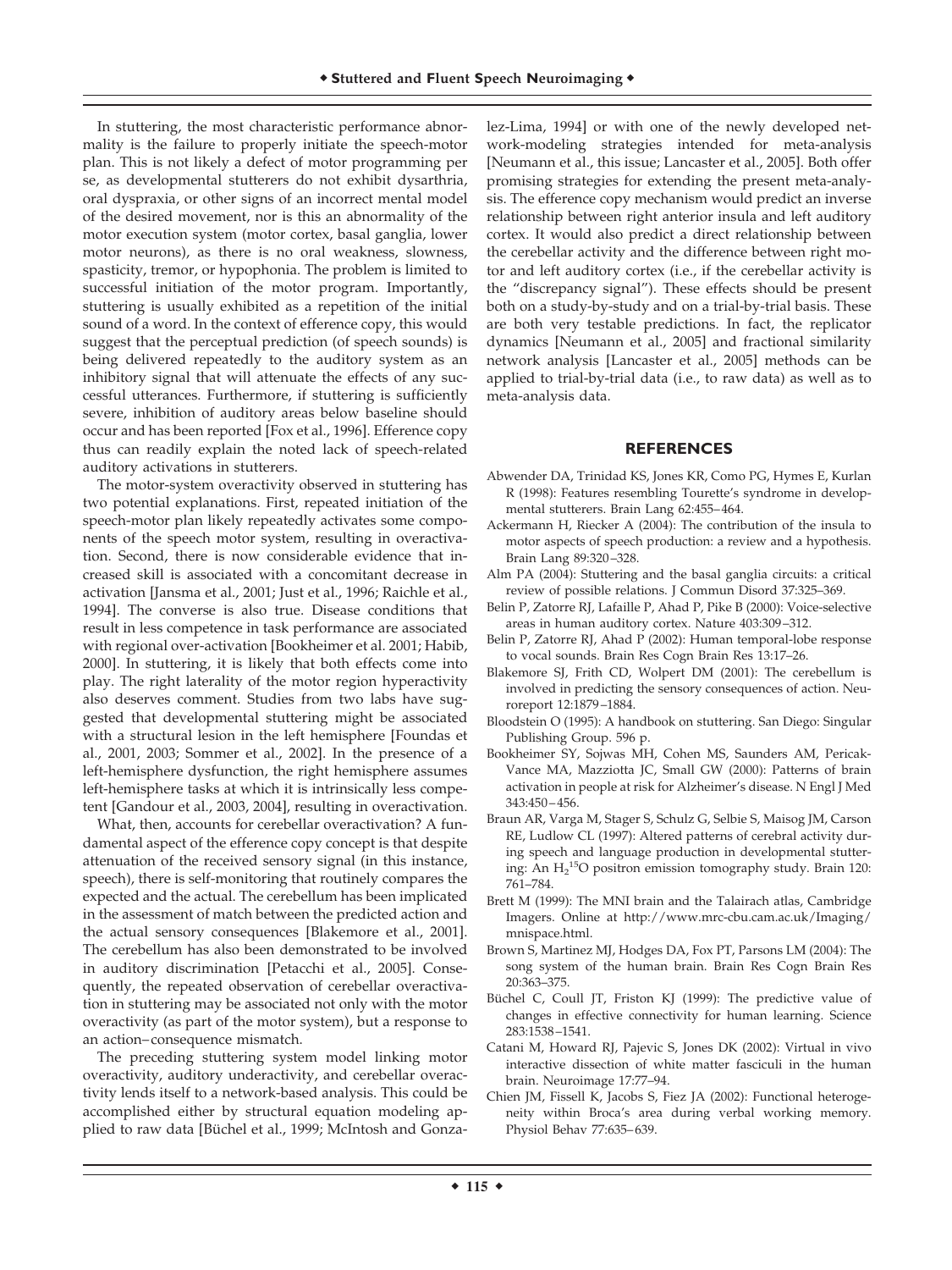In stuttering, the most characteristic performance abnormality is the failure to properly initiate the speech-motor plan. This is not likely a defect of motor programming per se, as developmental stutterers do not exhibit dysarthria, oral dyspraxia, or other signs of an incorrect mental model of the desired movement, nor is this an abnormality of the motor execution system (motor cortex, basal ganglia, lower motor neurons), as there is no oral weakness, slowness, spasticity, tremor, or hypophonia. The problem is limited to successful initiation of the motor program. Importantly, stuttering is usually exhibited as a repetition of the initial sound of a word. In the context of efference copy, this would suggest that the perceptual prediction (of speech sounds) is being delivered repeatedly to the auditory system as an inhibitory signal that will attenuate the effects of any successful utterances. Furthermore, if stuttering is sufficiently severe, inhibition of auditory areas below baseline should occur and has been reported [Fox et al., 1996]. Efference copy thus can readily explain the noted lack of speech-related auditory activations in stutterers.

The motor-system overactivity observed in stuttering has two potential explanations. First, repeated initiation of the speech-motor plan likely repeatedly activates some components of the speech motor system, resulting in overactivation. Second, there is now considerable evidence that increased skill is associated with a concomitant decrease in activation [Jansma et al., 2001; Just et al., 1996; Raichle et al., 1994]. The converse is also true. Disease conditions that result in less competence in task performance are associated with regional over-activation [Bookheimer et al. 2001; Habib, 2000]. In stuttering, it is likely that both effects come into play. The right laterality of the motor region hyperactivity also deserves comment. Studies from two labs have suggested that developmental stuttering might be associated with a structural lesion in the left hemisphere [Foundas et al., 2001, 2003; Sommer et al., 2002]. In the presence of a left-hemisphere dysfunction, the right hemisphere assumes left-hemisphere tasks at which it is intrinsically less competent [Gandour et al., 2003, 2004], resulting in overactivation.

What, then, accounts for cerebellar overactivation? A fundamental aspect of the efference copy concept is that despite attenuation of the received sensory signal (in this instance, speech), there is self-monitoring that routinely compares the expected and the actual. The cerebellum has been implicated in the assessment of match between the predicted action and the actual sensory consequences [Blakemore et al., 2001]. The cerebellum has also been demonstrated to be involved in auditory discrimination [Petacchi et al., 2005]. Consequently, the repeated observation of cerebellar overactivation in stuttering may be associated not only with the motor overactivity (as part of the motor system), but a response to an action– consequence mismatch.

The preceding stuttering system model linking motor overactivity, auditory underactivity, and cerebellar overactivity lends itself to a network-based analysis. This could be accomplished either by structural equation modeling applied to raw data [Büchel et al., 1999; McIntosh and Gonzalez-Lima, 1994] or with one of the newly developed network-modeling strategies intended for meta-analysis [Neumann et al., this issue; Lancaster et al., 2005]. Both offer promising strategies for extending the present meta-analysis. The efference copy mechanism would predict an inverse relationship between right anterior insula and left auditory cortex. It would also predict a direct relationship between the cerebellar activity and the difference between right motor and left auditory cortex (i.e., if the cerebellar activity is the "discrepancy signal"). These effects should be present both on a study-by-study and on a trial-by-trial basis. These are both very testable predictions. In fact, the replicator dynamics [Neumann et al., 2005] and fractional similarity network analysis [Lancaster et al., 2005] methods can be applied to trial-by-trial data (i.e., to raw data) as well as to meta-analysis data.

#### **REFERENCES**

- Abwender DA, Trinidad KS, Jones KR, Como PG, Hymes E, Kurlan R (1998): Features resembling Tourette's syndrome in developmental stutterers. Brain Lang 62:455– 464.
- Ackermann H, Riecker A (2004): The contribution of the insula to motor aspects of speech production: a review and a hypothesis. Brain Lang 89:320 –328.
- Alm PA (2004): Stuttering and the basal ganglia circuits: a critical review of possible relations. J Commun Disord 37:325–369.
- Belin P, Zatorre RJ, Lafaille P, Ahad P, Pike B (2000): Voice-selective areas in human auditory cortex. Nature 403:309 –312.
- Belin P, Zatorre RJ, Ahad P (2002): Human temporal-lobe response to vocal sounds. Brain Res Cogn Brain Res 13:17–26.
- Blakemore SJ, Frith CD, Wolpert DM (2001): The cerebellum is involved in predicting the sensory consequences of action. Neuroreport 12:1879 –1884.
- Bloodstein O (1995): A handbook on stuttering. San Diego: Singular Publishing Group. 596 p.
- Bookheimer SY, Sojwas MH, Cohen MS, Saunders AM, Pericak-Vance MA, Mazziotta JC, Small GW (2000): Patterns of brain activation in people at risk for Alzheimer's disease. N Engl J Med 343:450 – 456.
- Braun AR, Varga M, Stager S, Schulz G, Selbie S, Maisog JM, Carson RE, Ludlow CL (1997): Altered patterns of cerebral activity during speech and language production in developmental stuttering: An H2 15O positron emission tomography study. Brain 120: 761–784.
- Brett M (1999): The MNI brain and the Talairach atlas, Cambridge Imagers. Online at http://www.mrc-cbu.cam.ac.uk/Imaging/ mnispace.html.
- Brown S, Martinez MJ, Hodges DA, Fox PT, Parsons LM (2004): The song system of the human brain. Brain Res Cogn Brain Res 20:363–375.
- Büchel C, Coull JT, Friston KJ (1999): The predictive value of changes in effective connectivity for human learning. Science 283:1538 –1541.
- Catani M, Howard RJ, Pajevic S, Jones DK (2002): Virtual in vivo interactive dissection of white matter fasciculi in the human brain. Neuroimage 17:77–94.
- Chien JM, Fissell K, Jacobs S, Fiez JA (2002): Functional heterogeneity within Broca's area during verbal working memory. Physiol Behav 77:635– 639.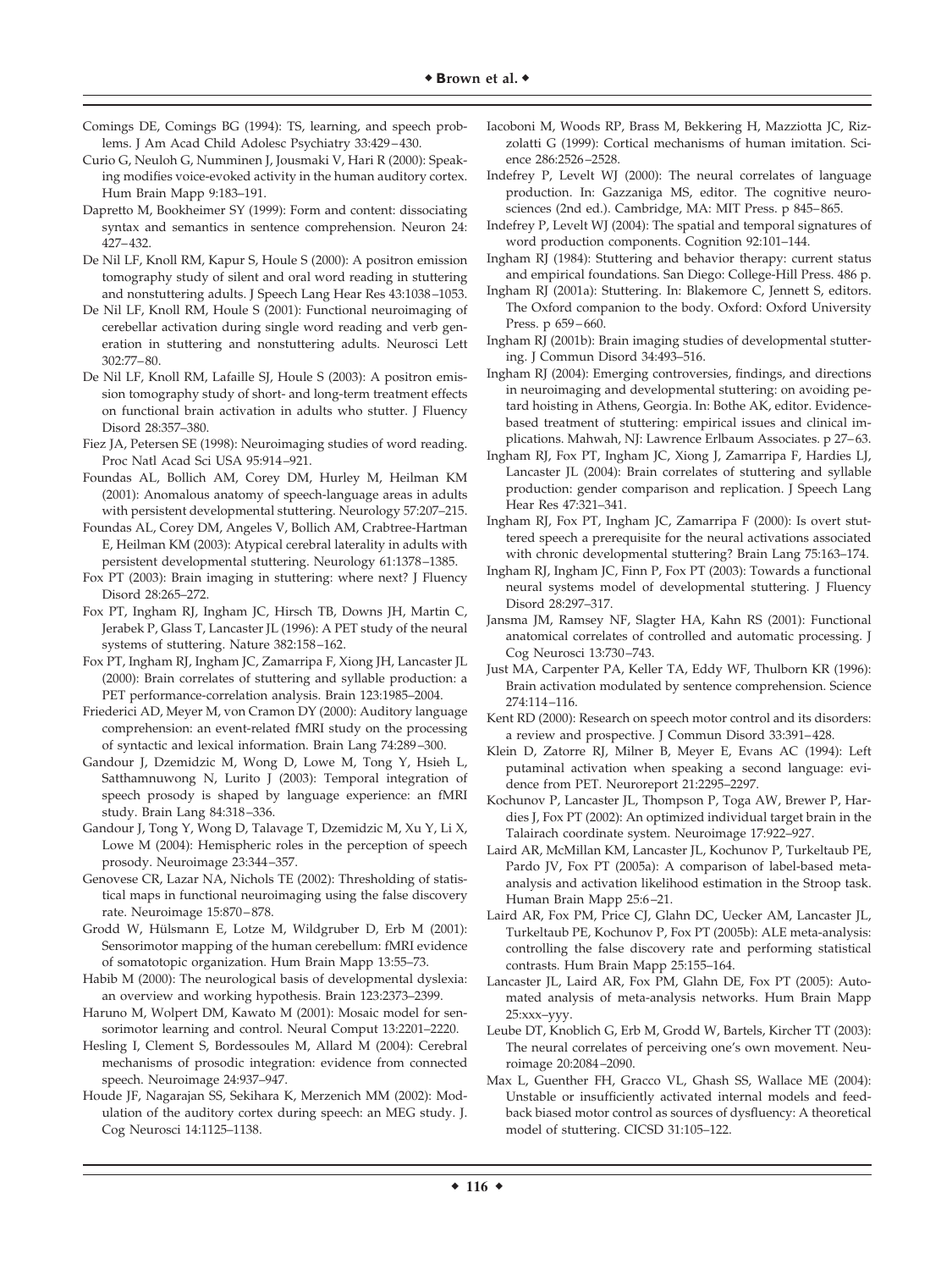- Comings DE, Comings BG (1994): TS, learning, and speech problems. J Am Acad Child Adolesc Psychiatry 33:429 – 430.
- Curio G, Neuloh G, Numminen J, Jousmaki V, Hari R (2000): Speaking modifies voice-evoked activity in the human auditory cortex. Hum Brain Mapp 9:183–191.
- Dapretto M, Bookheimer SY (1999): Form and content: dissociating syntax and semantics in sentence comprehension. Neuron 24: 427– 432.
- De Nil LF, Knoll RM, Kapur S, Houle S (2000): A positron emission tomography study of silent and oral word reading in stuttering and nonstuttering adults. J Speech Lang Hear Res 43:1038 –1053.
- De Nil LF, Knoll RM, Houle S (2001): Functional neuroimaging of cerebellar activation during single word reading and verb generation in stuttering and nonstuttering adults. Neurosci Lett 302:77– 80.
- De Nil LF, Knoll RM, Lafaille SJ, Houle S (2003): A positron emission tomography study of short- and long-term treatment effects on functional brain activation in adults who stutter. J Fluency Disord 28:357–380.
- Fiez JA, Petersen SE (1998): Neuroimaging studies of word reading. Proc Natl Acad Sci USA 95:914 –921.
- Foundas AL, Bollich AM, Corey DM, Hurley M, Heilman KM (2001): Anomalous anatomy of speech-language areas in adults with persistent developmental stuttering. Neurology 57:207–215.
- Foundas AL, Corey DM, Angeles V, Bollich AM, Crabtree-Hartman E, Heilman KM (2003): Atypical cerebral laterality in adults with persistent developmental stuttering. Neurology 61:1378 –1385.
- Fox PT (2003): Brain imaging in stuttering: where next? J Fluency Disord 28:265–272.
- Fox PT, Ingham RJ, Ingham JC, Hirsch TB, Downs JH, Martin C, Jerabek P, Glass T, Lancaster JL (1996): A PET study of the neural systems of stuttering. Nature 382:158 –162.
- Fox PT, Ingham RJ, Ingham JC, Zamarripa F, Xiong JH, Lancaster JL (2000): Brain correlates of stuttering and syllable production: a PET performance-correlation analysis. Brain 123:1985–2004.
- Friederici AD, Meyer M, von Cramon DY (2000): Auditory language comprehension: an event-related fMRI study on the processing of syntactic and lexical information. Brain Lang 74:289 –300.
- Gandour J, Dzemidzic M, Wong D, Lowe M, Tong Y, Hsieh L, Satthamnuwong N, Lurito J (2003): Temporal integration of speech prosody is shaped by language experience: an fMRI study. Brain Lang 84:318 –336.
- Gandour J, Tong Y, Wong D, Talavage T, Dzemidzic M, Xu Y, Li X, Lowe M (2004): Hemispheric roles in the perception of speech prosody. Neuroimage 23:344 –357.
- Genovese CR, Lazar NA, Nichols TE (2002): Thresholding of statistical maps in functional neuroimaging using the false discovery rate. Neuroimage 15:870 – 878.
- Grodd W, Hülsmann E, Lotze M, Wildgruber D, Erb M (2001): Sensorimotor mapping of the human cerebellum: fMRI evidence of somatotopic organization. Hum Brain Mapp 13:55–73.
- Habib M (2000): The neurological basis of developmental dyslexia: an overview and working hypothesis. Brain 123:2373–2399.
- Haruno M, Wolpert DM, Kawato M (2001): Mosaic model for sensorimotor learning and control. Neural Comput 13:2201–2220.
- Hesling I, Clement S, Bordessoules M, Allard M (2004): Cerebral mechanisms of prosodic integration: evidence from connected speech. Neuroimage 24:937–947.
- Houde JF, Nagarajan SS, Sekihara K, Merzenich MM (2002): Modulation of the auditory cortex during speech: an MEG study. J. Cog Neurosci 14:1125–1138.
- Iacoboni M, Woods RP, Brass M, Bekkering H, Mazziotta JC, Rizzolatti G (1999): Cortical mechanisms of human imitation. Science 286:2526 –2528.
- Indefrey P, Levelt WJ (2000): The neural correlates of language production. In: Gazzaniga MS, editor. The cognitive neurosciences (2nd ed.). Cambridge, MA: MIT Press. p 845-865.
- Indefrey P, Levelt WJ (2004): The spatial and temporal signatures of word production components. Cognition 92:101–144.
- Ingham RJ (1984): Stuttering and behavior therapy: current status and empirical foundations. San Diego: College-Hill Press. 486 p.
- Ingham RJ (2001a): Stuttering. In: Blakemore C, Jennett S, editors. The Oxford companion to the body. Oxford: Oxford University Press. p 659 – 660.
- Ingham RJ (2001b): Brain imaging studies of developmental stuttering. J Commun Disord 34:493–516.
- Ingham RJ (2004): Emerging controversies, findings, and directions in neuroimaging and developmental stuttering: on avoiding petard hoisting in Athens, Georgia. In: Bothe AK, editor. Evidencebased treatment of stuttering: empirical issues and clinical implications. Mahwah, NJ: Lawrence Erlbaum Associates. p 27-63.
- Ingham RJ, Fox PT, Ingham JC, Xiong J, Zamarripa F, Hardies LJ, Lancaster JL (2004): Brain correlates of stuttering and syllable production: gender comparison and replication. J Speech Lang Hear Res 47:321–341.
- Ingham RJ, Fox PT, Ingham JC, Zamarripa F (2000): Is overt stuttered speech a prerequisite for the neural activations associated with chronic developmental stuttering? Brain Lang 75:163–174.
- Ingham RJ, Ingham JC, Finn P, Fox PT (2003): Towards a functional neural systems model of developmental stuttering. J Fluency Disord 28:297–317.
- Jansma JM, Ramsey NF, Slagter HA, Kahn RS (2001): Functional anatomical correlates of controlled and automatic processing. J Cog Neurosci 13:730 –743.
- Just MA, Carpenter PA, Keller TA, Eddy WF, Thulborn KR (1996): Brain activation modulated by sentence comprehension. Science 274:114 –116.
- Kent RD (2000): Research on speech motor control and its disorders: a review and prospective. J Commun Disord 33:391– 428.
- Klein D, Zatorre RJ, Milner B, Meyer E, Evans AC (1994): Left putaminal activation when speaking a second language: evidence from PET. Neuroreport 21:2295–2297.
- Kochunov P, Lancaster JL, Thompson P, Toga AW, Brewer P, Hardies J, Fox PT (2002): An optimized individual target brain in the Talairach coordinate system. Neuroimage 17:922–927.
- Laird AR, McMillan KM, Lancaster JL, Kochunov P, Turkeltaub PE, Pardo JV, Fox PT (2005a): A comparison of label-based metaanalysis and activation likelihood estimation in the Stroop task. Human Brain Mapp 25:6 –21.
- Laird AR, Fox PM, Price CJ, Glahn DC, Uecker AM, Lancaster JL, Turkeltaub PE, Kochunov P, Fox PT (2005b): ALE meta-analysis: controlling the false discovery rate and performing statistical contrasts. Hum Brain Mapp 25:155–164.
- Lancaster JL, Laird AR, Fox PM, Glahn DE, Fox PT (2005): Automated analysis of meta-analysis networks. Hum Brain Mapp 25:xxx–yyy.
- Leube DT, Knoblich G, Erb M, Grodd W, Bartels, Kircher TT (2003): The neural correlates of perceiving one's own movement. Neuroimage 20:2084 –2090.
- Max L, Guenther FH, Gracco VL, Ghash SS, Wallace ME (2004): Unstable or insufficiently activated internal models and feedback biased motor control as sources of dysfluency: A theoretical model of stuttering. CICSD 31:105–122.